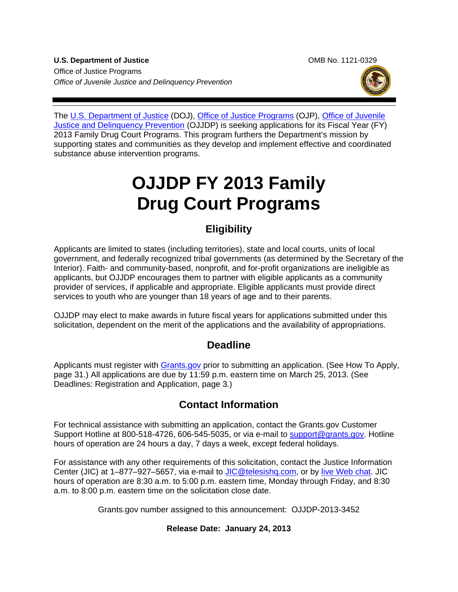**U.S. Department of Justice Combine State Combine Combine Combine Combine Combine Combine Combine Combine Combine Combine Combine Combine Combine Combine Combine Combine Combine Combine Combine Combine Combine Combine Comb** Office of Justice Programs *Office of Juvenile Justice and Delinquency Prevention*



The [U.S. Department of Justice](http://www.justice.gov/) (DOJ), [Office of Justice Programs](http://www.ojp.usdoj.gov/) (OJP), Office of Juvenile [Justice and Delinquency Prevention](http://www.ojjdp.gov/) (OJJDP) is seeking applications for its Fiscal Year (FY) 2013 Family Drug Court Programs. This program furthers the Department's mission by supporting states and communities as they develop and implement effective and coordinated substance abuse intervention programs.

# **OJJDP FY 2013 Family Drug Court Programs**

### **Eligibility**

Applicants are limited to states (including territories), state and local courts, units of local government, and federally recognized tribal governments (as determined by the Secretary of the Interior). Faith- and community-based, nonprofit, and for-profit organizations are ineligible as applicants, but OJJDP encourages them to partner with eligible applicants as a community provider of services, if applicable and appropriate. Eligible applicants must provide direct services to youth who are younger than 18 years of age and to their parents.

OJJDP may elect to make awards in future fiscal years for applications submitted under this solicitation, dependent on the merit of the applications and the availability of appropriations.

### **Deadline**

Applicants must register with **Grants.gov** prior to submitting an application. (See How To Apply, page 31.) All applications are due by 11:59 p.m. eastern time on March 25, 2013. (See Deadlines: Registration and Application, page 3*.*)

### **Contact Information**

For technical assistance with submitting an application, contact the Grants.gov Customer Support Hotline at 800-518-4726, 606-545-5035, or via e-mail to [support@grants.gov.](mailto:support@grants.gov) Hotline hours of operation are 24 hours a day, 7 days a week, except federal holidays.

For assistance with any other requirements of this solicitation, contact the Justice Information Center (JIC) at 1-877-927-5657, via e-mail to [JIC@telesishq.com,](mailto:JIC@telesishq.com) or by [live Web chat.](http://www.justiceinformationcenter.us/) JIC hours of operation are 8:30 a.m. to 5:00 p.m. eastern time, Monday through Friday, and 8:30 a.m. to 8:00 p.m. eastern time on the solicitation close date.

Grants.gov number assigned to this announcement: OJJDP-2013-3452

#### **Release Date: January 24, 2013**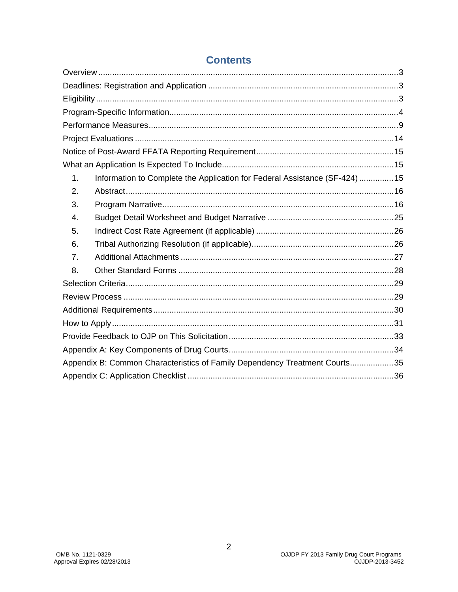| 1. | Information to Complete the Application for Federal Assistance (SF-424)  15 |  |
|----|-----------------------------------------------------------------------------|--|
| 2. |                                                                             |  |
| 3. |                                                                             |  |
| 4. |                                                                             |  |
| 5. |                                                                             |  |
| 6. |                                                                             |  |
| 7. |                                                                             |  |
| 8. |                                                                             |  |
|    |                                                                             |  |
|    |                                                                             |  |
|    |                                                                             |  |
|    |                                                                             |  |
|    |                                                                             |  |
|    |                                                                             |  |
|    | Appendix B: Common Characteristics of Family Dependency Treatment Courts35  |  |
|    |                                                                             |  |

### **Contents**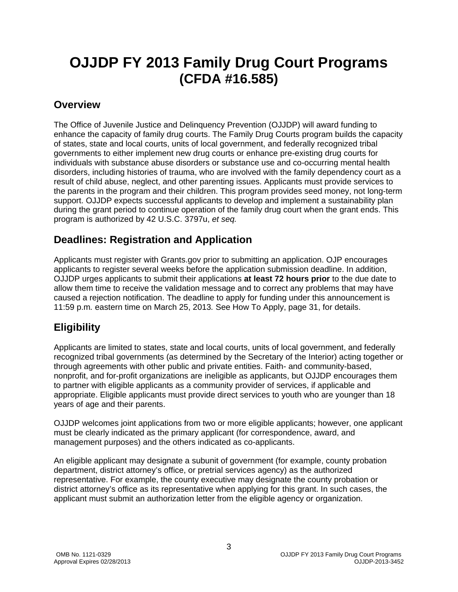## **OJJDP FY 2013 Family Drug Court Programs (CFDA #16.585)**

### <span id="page-2-0"></span>**Overview**

The Office of Juvenile Justice and Delinquency Prevention (OJJDP) will award funding to enhance the capacity of family drug courts. The Family Drug Courts program builds the capacity of states, state and local courts, units of local government, and federally recognized tribal governments to either implement new drug courts or enhance pre-existing drug courts for individuals with substance abuse disorders or substance use and co-occurring mental health disorders, including histories of trauma, who are involved with the family dependency court as a result of child abuse, neglect, and other parenting issues. Applicants must provide services to the parents in the program and their children. This program provides seed money, not long-term support. OJJDP expects successful applicants to develop and implement a sustainability plan during the grant period to continue operation of the family drug court when the grant ends. This program is authorized by 42 U.S.C. 3797u, *et seq.* 

### <span id="page-2-1"></span>**Deadlines: Registration and Application**

Applicants must register with Grants.gov prior to submitting an application. OJP encourages applicants to register several weeks before the application submission deadline. In addition, OJJDP urges applicants to submit their applications **at least 72 hours prior** to the due date to allow them time to receive the validation message and to correct any problems that may have caused a rejection notification. The deadline to apply for funding under this announcement is 11:59 p.m*.* eastern time on March 25, 2013*.* See How To Apply, page 31, for details.

### <span id="page-2-2"></span>**Eligibility**

Applicants are limited to states, state and local courts, units of local government, and federally recognized tribal governments (as determined by the Secretary of the Interior) acting together or through agreements with other public and private entities. Faith- and community-based, nonprofit, and for-profit organizations are ineligible as applicants, but OJJDP encourages them to partner with eligible applicants as a community provider of services, if applicable and appropriate. Eligible applicants must provide direct services to youth who are younger than 18 years of age and their parents.

OJJDP welcomes joint applications from two or more eligible applicants; however, one applicant must be clearly indicated as the primary applicant (for correspondence, award, and management purposes) and the others indicated as co-applicants.

<span id="page-2-3"></span>An eligible applicant may designate a subunit of government (for example, county probation department, district attorney's office, or pretrial services agency) as the authorized representative. For example, the county executive may designate the county probation or district attorney's office as its representative when applying for this grant. In such cases, the applicant must submit an authorization letter from the eligible agency or organization.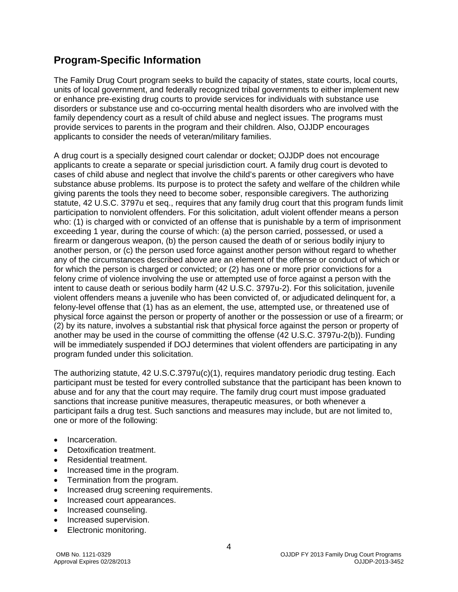### <span id="page-3-0"></span>**Program-Specific Information**

The Family Drug Court program seeks to build the capacity of states, state courts, local courts, units of local government, and federally recognized tribal governments to either implement new or enhance pre-existing drug courts to provide services for individuals with substance use disorders or substance use and co-occurring mental health disorders who are involved with the family dependency court as a result of child abuse and neglect issues. The programs must provide services to parents in the program and their children. Also, OJJDP encourages applicants to consider the needs of veteran/military families.

A drug court is a specially designed court calendar or docket; OJJDP does not encourage applicants to create a separate or special jurisdiction court. A family drug court is devoted to cases of child abuse and neglect that involve the child's parents or other caregivers who have substance abuse problems. Its purpose is to protect the safety and welfare of the children while giving parents the tools they need to become sober, responsible caregivers. The authorizing statute, 42 U.S.C. 3797u et seq., requires that any family drug court that this program funds limit participation to nonviolent offenders. For this solicitation, adult violent offender means a person who: (1) is charged with or convicted of an offense that is punishable by a term of imprisonment exceeding 1 year, during the course of which: (a) the person carried, possessed, or used a firearm or dangerous weapon, (b) the person caused the death of or serious bodily injury to another person, or (c) the person used force against another person without regard to whether any of the circumstances described above are an element of the offense or conduct of which or for which the person is charged or convicted; or (2) has one or more prior convictions for a felony crime of violence involving the use or attempted use of force against a person with the intent to cause death or serious bodily harm (42 U.S.C. 3797u-2). For this solicitation, juvenile violent offenders means a juvenile who has been convicted of, or adjudicated delinquent for, a felony-level offense that (1) has as an element, the use, attempted use, or threatened use of physical force against the person or property of another or the possession or use of a firearm; or (2) by its nature, involves a substantial risk that physical force against the person or property of another may be used in the course of committing the offense (42 U.S.C. 3797u-2(b)). Funding will be immediately suspended if DOJ determines that violent offenders are participating in any program funded under this solicitation.

The authorizing statute, 42 U.S.C.3797u(c)(1), requires mandatory periodic drug testing. Each participant must be tested for every controlled substance that the participant has been known to abuse and for any that the court may require. The family drug court must impose graduated sanctions that increase punitive measures, therapeutic measures, or both whenever a participant fails a drug test. Such sanctions and measures may include, but are not limited to, one or more of the following:

- Incarceration.
- Detoxification treatment.
- Residential treatment.
- Increased time in the program.
- Termination from the program.
- Increased drug screening requirements.
- Increased court appearances.
- Increased counseling.
- Increased supervision.
- Electronic monitoring.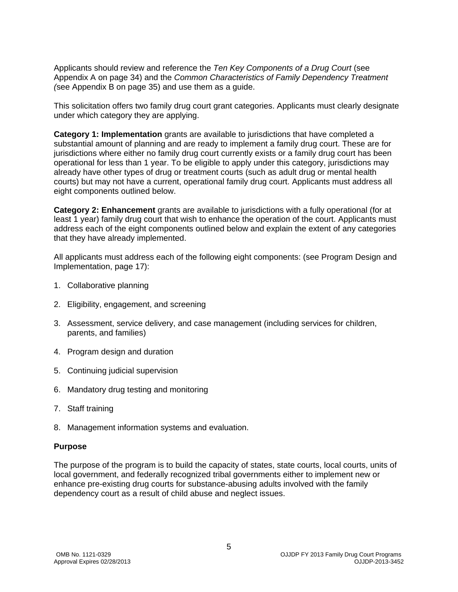Applicants should review and reference the *Ten Key Components of a Drug Court* (see Appendix A on page 34) and the *Common Characteristics of Family Dependency Treatment (*see Appendix B on page 35) and use them as a guide.

This solicitation offers two family drug court grant categories. Applicants must clearly designate under which category they are applying.

**Category 1: Implementation** grants are available to jurisdictions that have completed a substantial amount of planning and are ready to implement a family drug court. These are for jurisdictions where either no family drug court currently exists or a family drug court has been operational for less than 1 year. To be eligible to apply under this category, jurisdictions may already have other types of drug or treatment courts (such as adult drug or mental health courts) but may not have a current, operational family drug court. Applicants must address all eight components outlined below.

**Category 2: Enhancement** grants are available to jurisdictions with a fully operational (for at least 1 year) family drug court that wish to enhance the operation of the court. Applicants must address each of the eight components outlined below and explain the extent of any categories that they have already implemented.

All applicants must address each of the following eight components: (see Program Design and Implementation, page 17):

- 1. Collaborative planning
- 2. Eligibility, engagement, and screening
- 3. Assessment, service delivery, and case management (including services for children, parents, and families)
- 4. Program design and duration
- 5. Continuing judicial supervision
- 6. Mandatory drug testing and monitoring
- 7. Staff training
- 8. Management information systems and evaluation.

#### **Purpose**

The purpose of the program is to build the capacity of states, state courts, local courts, units of local government, and federally recognized tribal governments either to implement new or enhance pre-existing drug courts for substance-abusing adults involved with the family dependency court as a result of child abuse and neglect issues.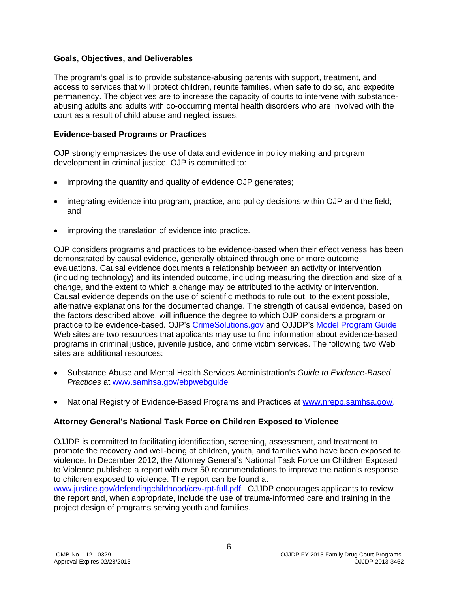#### **Goals, Objectives, and Deliverables**

The program's goal is to provide substance-abusing parents with support, treatment, and access to services that will protect children, reunite families, when safe to do so, and expedite permanency. The objectives are to increase the capacity of courts to intervene with substanceabusing adults and adults with co-occurring mental health disorders who are involved with the court as a result of child abuse and neglect issues.

#### **Evidence-based Programs or Practices**

OJP strongly emphasizes the use of data and evidence in policy making and program development in criminal justice. OJP is committed to:

- improving the quantity and quality of evidence OJP generates;
- integrating evidence into program, practice, and policy decisions within OJP and the field; and
- improving the translation of evidence into practice.

OJP considers programs and practices to be evidence-based when their effectiveness has been demonstrated by causal evidence, generally obtained through one or more outcome evaluations. Causal evidence documents a relationship between an activity or intervention (including technology) and its intended outcome, including measuring the direction and size of a change, and the extent to which a change may be attributed to the activity or intervention. Causal evidence depends on the use of scientific methods to rule out, to the extent possible, alternative explanations for the documented change. The strength of causal evidence, based on the factors described above, will influence the degree to which OJP considers a program or practice to be evidence-based. OJP's CrimeSolutions.gov and OJJDP's [Model Program Guide](http://www.ojjdp.gov/mpg/) Web sites are two resources that applicants may use to find information about evidence-based programs in criminal justice, juvenile justice, and crime victim services. The following two Web sites are additional resources:

- Substance Abuse and Mental Health Services Administration's *Guide to Evidence-Based Practices* at www.samhsa.gov/ebpwebguide
- National Registry of Evidence-Based Programs and Practices at www.nrepp.samhsa.gov/

#### **Attorney General's National Task Force on Children Exposed to Violence**

OJJDP is committed to facilitating identification, screening, assessment, and treatment to promote the recovery and well-being of children, youth, and families who have been exposed to violence. In December 2012, the Attorney General's National Task Force on Children Exposed to Violence published a report with over 50 recommendations to improve the nation's response to children exposed to violence. The report can be found at

[www.justice.gov/defendingchildhood/cev-rpt-full.pdf.](http://www.justice.gov/defendingchildhood/cev-rpt-full.pdf) OJJDP encourages applicants to review the report and, when appropriate, include the use of trauma-informed care and training in the project design of programs serving youth and families.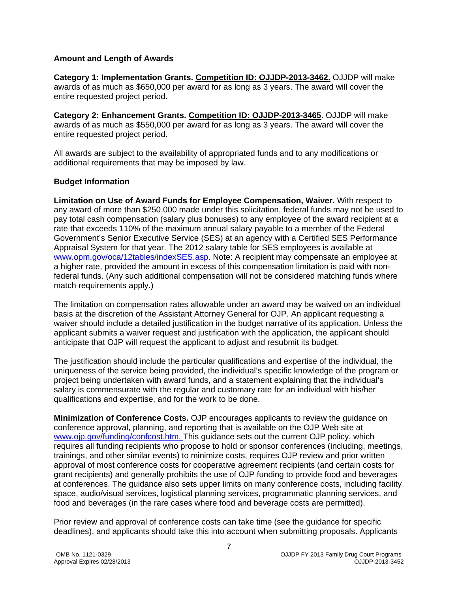#### **Amount and Length of Awards**

**Category 1: Implementation Grants. Competition ID: OJJDP-2013-3462.** OJJDP will make awards of as much as \$650,000 per award for as long as 3 years. The award will cover the entire requested project period.

**Category 2: Enhancement Grants. Competition ID: OJJDP-2013-3465.** OJJDP will make awards of as much as \$550,000 per award for as long as 3 years. The award will cover the entire requested project period.

All awards are subject to the availability of appropriated funds and to any modifications or additional requirements that may be imposed by law.

#### **Budget Information**

**Limitation on Use of Award Funds for Employee Compensation, Waiver.** With respect to any award of more than \$250,000 made under this solicitation, federal funds may not be used to pay total cash compensation (salary plus bonuses) to any employee of the award recipient at a rate that exceeds 110% of the maximum annual salary payable to a member of the Federal Government's Senior Executive Service (SES) at an agency with a Certified SES Performance Appraisal System for that year. The 2012 salary table for SES employees is available at [www.opm.gov/oca/12tables/indexSES.asp.](http://www.opm.gov/oca/12tables/indexSES.asp) Note: A recipient may compensate an employee at a higher rate, provided the amount in excess of this compensation limitation is paid with nonfederal funds. (Any such additional compensation will not be considered matching funds where match requirements apply.)

The limitation on compensation rates allowable under an award may be waived on an individual basis at the discretion of the Assistant Attorney General for OJP. An applicant requesting a waiver should include a detailed justification in the budget narrative of its application. Unless the applicant submits a waiver request and justification with the application, the applicant should anticipate that OJP will request the applicant to adjust and resubmit its budget.

The justification should include the particular qualifications and expertise of the individual, the uniqueness of the service being provided, the individual's specific knowledge of the program or project being undertaken with award funds, and a statement explaining that the individual's salary is commensurate with the regular and customary rate for an individual with his/her qualifications and expertise, and for the work to be done.

**Minimization of Conference Costs.** OJP encourages applicants to review the guidance on conference approval, planning, and reporting that is available on the OJP Web site at [www.ojp.gov/funding/confcost.htm.](http://www.ojp.gov/funding/confcost.htm) This guidance sets out the current OJP policy, which requires all funding recipients who propose to hold or sponsor conferences (including, meetings, trainings, and other similar events) to minimize costs, requires OJP review and prior written approval of most conference costs for cooperative agreement recipients (and certain costs for grant recipients) and generally prohibits the use of OJP funding to provide food and beverages at conferences. The guidance also sets upper limits on many conference costs, including facility space, audio/visual services, logistical planning services, programmatic planning services, and food and beverages (in the rare cases where food and beverage costs are permitted).

Prior review and approval of conference costs can take time (see the guidance for specific deadlines), and applicants should take this into account when submitting proposals. Applicants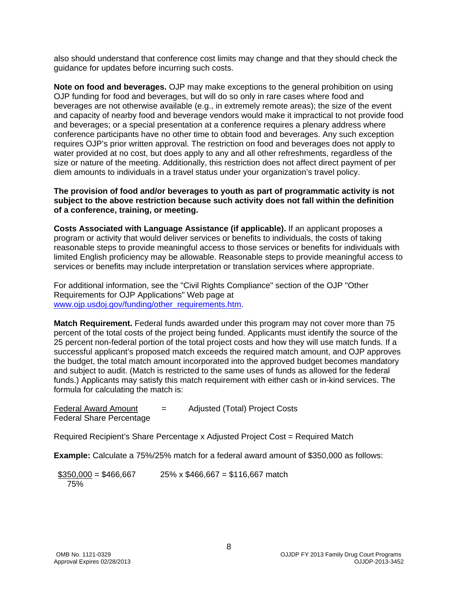also should understand that conference cost limits may change and that they should check the guidance for updates before incurring such costs.

**Note on food and beverages.** OJP may make exceptions to the general prohibition on using OJP funding for food and beverages, but will do so only in rare cases where food and beverages are not otherwise available (e.g., in extremely remote areas); the size of the event and capacity of nearby food and beverage vendors would make it impractical to not provide food and beverages; or a special presentation at a conference requires a plenary address where conference participants have no other time to obtain food and beverages. Any such exception requires OJP's prior written approval. The restriction on food and beverages does not apply to water provided at no cost, but does apply to any and all other refreshments, regardless of the size or nature of the meeting. Additionally, this restriction does not affect direct payment of per diem amounts to individuals in a travel status under your organization's travel policy.

#### **The provision of food and/or beverages to youth as part of programmatic activity is not subject to the above restriction because such activity does not fall within the definition of a conference, training, or meeting.**

**Costs Associated with Language Assistance (if applicable).** If an applicant proposes a program or activity that would deliver services or benefits to individuals, the costs of taking reasonable steps to provide meaningful access to those services or benefits for individuals with limited English proficiency may be allowable. Reasonable steps to provide meaningful access to services or benefits may include interpretation or translation services where appropriate.

For additional information, see the "Civil Rights Compliance" section of the OJP "Other Requirements for OJP Applications" Web page at [www.ojp.usdoj.gov/funding/other\\_requirements.htm.](http://www.ojp.usdoj.gov/funding/other_requirements.htm)

**Match Requirement.** Federal funds awarded under this program may not cover more than 75 percent of the total costs of the project being funded. Applicants must identify the source of the 25 percent non-federal portion of the total project costs and how they will use match funds. If a successful applicant's proposed match exceeds the required match amount, and OJP approves the budget, the total match amount incorporated into the approved budget becomes mandatory and subject to audit. (Match is restricted to the same uses of funds as allowed for the federal funds.) Applicants may satisfy this match requirement with either cash or in-kind services. The formula for calculating the match is:

| <b>Federal Award Amount</b>     | $\overline{\phantom{a}}$ | Adjusted (Total) Project Costs |
|---------------------------------|--------------------------|--------------------------------|
| <b>Federal Share Percentage</b> |                          |                                |

Required Recipient's Share Percentage x Adjusted Project Cost = Required Match

**Example:** Calculate a 75%/25% match for a federal award amount of \$350,000 as follows:

<span id="page-7-0"></span> $$350,000 = $466,667$  25% x \$466,667 = \$116,667 match 75%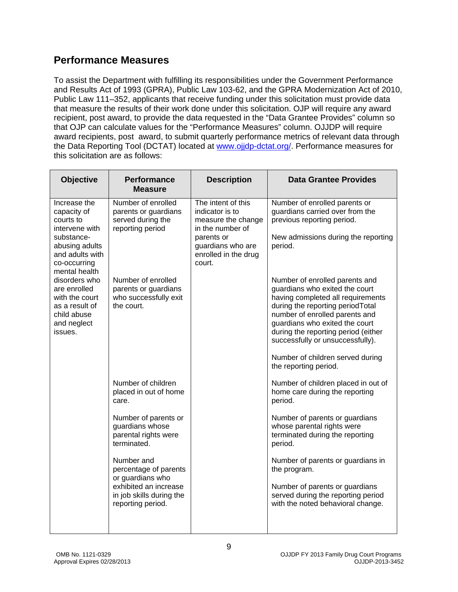### **Performance Measures**

To assist the Department with fulfilling its responsibilities under the Government Performance and Results Act of 1993 (GPRA), Public Law 103-62, and the GPRA Modernization Act of 2010, Public Law 111–352, applicants that receive funding under this solicitation must provide data that measure the results of their work done under this solicitation. OJP will require any award recipient, post award, to provide the data requested in the "Data Grantee Provides" column so that OJP can calculate values for the "Performance Measures" column. OJJDP will require award recipients, post award, to submit quarterly performance metrics of relevant data through the Data Reporting Tool (DCTAT) located at [www.ojjdp-dctat.org/.](https://www.ojjdp-dctat.org/) Performance measures for this solicitation are as follows:

| <b>Objective</b>                                                                                                                               | <b>Performance</b><br><b>Measure</b>                                                | <b>Description</b>                                                                                                                                   | <b>Data Grantee Provides</b>                                                                                                                                                                                                                                                             |
|------------------------------------------------------------------------------------------------------------------------------------------------|-------------------------------------------------------------------------------------|------------------------------------------------------------------------------------------------------------------------------------------------------|------------------------------------------------------------------------------------------------------------------------------------------------------------------------------------------------------------------------------------------------------------------------------------------|
| Increase the<br>capacity of<br>courts to<br>intervene with<br>substance-<br>abusing adults<br>and adults with<br>co-occurring<br>mental health | Number of enrolled<br>parents or guardians<br>served during the<br>reporting period | The intent of this<br>indicator is to<br>measure the change<br>in the number of<br>parents or<br>guardians who are<br>enrolled in the drug<br>court. | Number of enrolled parents or<br>guardians carried over from the<br>previous reporting period.<br>New admissions during the reporting<br>period.                                                                                                                                         |
| disorders who<br>are enrolled<br>with the court<br>as a result of<br>child abuse<br>and neglect<br>issues.                                     | Number of enrolled<br>parents or guardians<br>who successfully exit<br>the court.   |                                                                                                                                                      | Number of enrolled parents and<br>guardians who exited the court<br>having completed all requirements<br>during the reporting periodTotal<br>number of enrolled parents and<br>guardians who exited the court<br>during the reporting period (either<br>successfully or unsuccessfully). |
|                                                                                                                                                |                                                                                     |                                                                                                                                                      | Number of children served during<br>the reporting period.                                                                                                                                                                                                                                |
|                                                                                                                                                | Number of children<br>placed in out of home<br>care.                                |                                                                                                                                                      | Number of children placed in out of<br>home care during the reporting<br>period.                                                                                                                                                                                                         |
|                                                                                                                                                | Number of parents or<br>guardians whose<br>parental rights were<br>terminated.      |                                                                                                                                                      | Number of parents or guardians<br>whose parental rights were<br>terminated during the reporting<br>period.                                                                                                                                                                               |
|                                                                                                                                                | Number and<br>percentage of parents<br>or guardians who                             |                                                                                                                                                      | Number of parents or guardians in<br>the program.                                                                                                                                                                                                                                        |
|                                                                                                                                                | exhibited an increase<br>in job skills during the<br>reporting period.              |                                                                                                                                                      | Number of parents or guardians<br>served during the reporting period<br>with the noted behavioral change.                                                                                                                                                                                |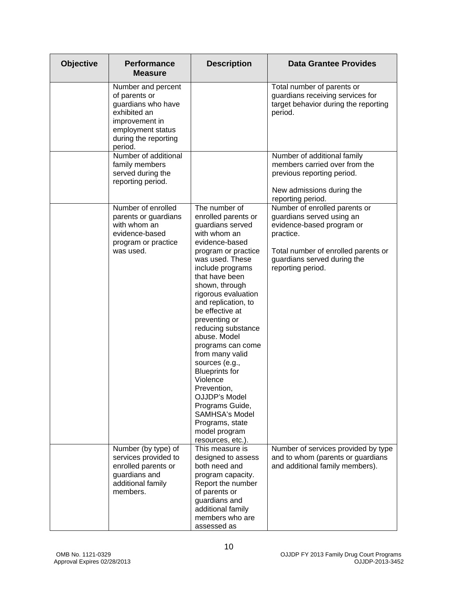| <b>Objective</b> | <b>Performance</b><br><b>Measure</b>                                                                                                                | <b>Description</b>                                                                                                                                                                                                                                                                                                                                                                                                                                                                                                                                              | <b>Data Grantee Provides</b>                                                                                                                                                                    |
|------------------|-----------------------------------------------------------------------------------------------------------------------------------------------------|-----------------------------------------------------------------------------------------------------------------------------------------------------------------------------------------------------------------------------------------------------------------------------------------------------------------------------------------------------------------------------------------------------------------------------------------------------------------------------------------------------------------------------------------------------------------|-------------------------------------------------------------------------------------------------------------------------------------------------------------------------------------------------|
|                  | Number and percent<br>of parents or<br>guardians who have<br>exhibited an<br>improvement in<br>employment status<br>during the reporting<br>period. |                                                                                                                                                                                                                                                                                                                                                                                                                                                                                                                                                                 | Total number of parents or<br>guardians receiving services for<br>target behavior during the reporting<br>period.                                                                               |
|                  | Number of additional<br>family members<br>served during the<br>reporting period.                                                                    |                                                                                                                                                                                                                                                                                                                                                                                                                                                                                                                                                                 | Number of additional family<br>members carried over from the<br>previous reporting period.<br>New admissions during the<br>reporting period.                                                    |
|                  | Number of enrolled<br>parents or guardians<br>with whom an<br>evidence-based<br>program or practice<br>was used.                                    | The number of<br>enrolled parents or<br>guardians served<br>with whom an<br>evidence-based<br>program or practice<br>was used. These<br>include programs<br>that have been<br>shown, through<br>rigorous evaluation<br>and replication, to<br>be effective at<br>preventing or<br>reducing substance<br>abuse. Model<br>programs can come<br>from many valid<br>sources (e.g.,<br><b>Blueprints for</b><br>Violence<br>Prevention,<br><b>OJJDP's Model</b><br>Programs Guide,<br><b>SAMHSA's Model</b><br>Programs, state<br>model program<br>resources, etc.). | Number of enrolled parents or<br>guardians served using an<br>evidence-based program or<br>practice.<br>Total number of enrolled parents or<br>guardians served during the<br>reporting period. |
|                  | Number (by type) of<br>services provided to<br>enrolled parents or<br>guardians and<br>additional family<br>members.                                | This measure is<br>designed to assess<br>both need and<br>program capacity.<br>Report the number<br>of parents or<br>guardians and<br>additional family<br>members who are<br>assessed as                                                                                                                                                                                                                                                                                                                                                                       | Number of services provided by type<br>and to whom (parents or guardians<br>and additional family members).                                                                                     |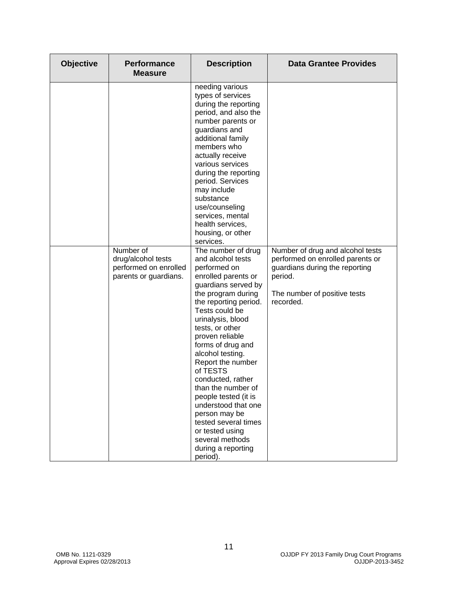| <b>Objective</b> | <b>Performance</b><br><b>Measure</b>                                              | <b>Description</b>                                                                                                                                                                                                                                                                                                                                                                                                                                                                                                                                                                                                                                                                                                                                                                                                                                                                                   | <b>Data Grantee Provides</b>                                                                                                                                   |
|------------------|-----------------------------------------------------------------------------------|------------------------------------------------------------------------------------------------------------------------------------------------------------------------------------------------------------------------------------------------------------------------------------------------------------------------------------------------------------------------------------------------------------------------------------------------------------------------------------------------------------------------------------------------------------------------------------------------------------------------------------------------------------------------------------------------------------------------------------------------------------------------------------------------------------------------------------------------------------------------------------------------------|----------------------------------------------------------------------------------------------------------------------------------------------------------------|
|                  | Number of<br>drug/alcohol tests<br>performed on enrolled<br>parents or guardians. | needing various<br>types of services<br>during the reporting<br>period, and also the<br>number parents or<br>guardians and<br>additional family<br>members who<br>actually receive<br>various services<br>during the reporting<br>period. Services<br>may include<br>substance<br>use/counseling<br>services, mental<br>health services,<br>housing, or other<br>services.<br>The number of drug<br>and alcohol tests<br>performed on<br>enrolled parents or<br>guardians served by<br>the program during<br>the reporting period.<br>Tests could be<br>urinalysis, blood<br>tests, or other<br>proven reliable<br>forms of drug and<br>alcohol testing.<br>Report the number<br>of TESTS<br>conducted, rather<br>than the number of<br>people tested (it is<br>understood that one<br>person may be<br>tested several times<br>or tested using<br>several methods<br>during a reporting<br>period). | Number of drug and alcohol tests<br>performed on enrolled parents or<br>guardians during the reporting<br>period.<br>The number of positive tests<br>recorded. |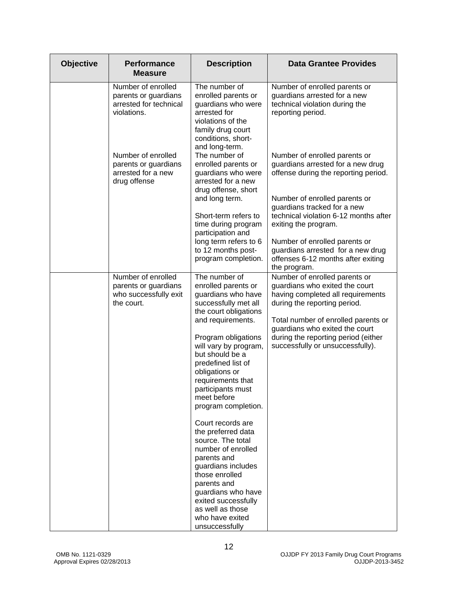| <b>Objective</b> | <b>Performance</b><br><b>Measure</b>                                                | <b>Description</b>                                                                                                                                               | <b>Data Grantee Provides</b>                                                                                                                                                                                                                         |
|------------------|-------------------------------------------------------------------------------------|------------------------------------------------------------------------------------------------------------------------------------------------------------------|------------------------------------------------------------------------------------------------------------------------------------------------------------------------------------------------------------------------------------------------------|
|                  | Number of enrolled<br>parents or guardians<br>arrested for technical<br>violations. | The number of<br>enrolled parents or<br>guardians who were<br>arrested for<br>violations of the<br>family drug court<br>conditions, short-<br>and long-term.     | Number of enrolled parents or<br>guardians arrested for a new<br>technical violation during the<br>reporting period.                                                                                                                                 |
|                  | Number of enrolled<br>parents or guardians<br>arrested for a new<br>drug offense    | The number of<br>enrolled parents or<br>guardians who were<br>arrested for a new<br>drug offense, short                                                          | Number of enrolled parents or<br>guardians arrested for a new drug<br>offense during the reporting period.                                                                                                                                           |
|                  |                                                                                     | and long term.<br>Short-term refers to<br>time during program<br>participation and                                                                               | Number of enrolled parents or<br>guardians tracked for a new<br>technical violation 6-12 months after<br>exiting the program.                                                                                                                        |
|                  |                                                                                     | long term refers to 6<br>to 12 months post-<br>program completion.                                                                                               | Number of enrolled parents or<br>guardians arrested for a new drug<br>offenses 6-12 months after exiting<br>the program.                                                                                                                             |
|                  | Number of enrolled<br>parents or guardians<br>who successfully exit<br>the court.   | The number of<br>enrolled parents or<br>guardians who have<br>successfully met all<br>the court obligations<br>and requirements.<br>Program obligations          | Number of enrolled parents or<br>guardians who exited the court<br>having completed all requirements<br>during the reporting period.<br>Total number of enrolled parents or<br>guardians who exited the court<br>during the reporting period (either |
|                  |                                                                                     | will vary by program,<br>but should be a<br>predefined list of<br>obligations or<br>requirements that<br>participants must<br>meet before<br>program completion. | successfully or unsuccessfully).                                                                                                                                                                                                                     |
|                  |                                                                                     | Court records are<br>the preferred data<br>source. The total<br>number of enrolled<br>parents and<br>guardians includes                                          |                                                                                                                                                                                                                                                      |
|                  |                                                                                     | those enrolled<br>parents and<br>guardians who have<br>exited successfully<br>as well as those<br>who have exited<br>unsuccessfully                              |                                                                                                                                                                                                                                                      |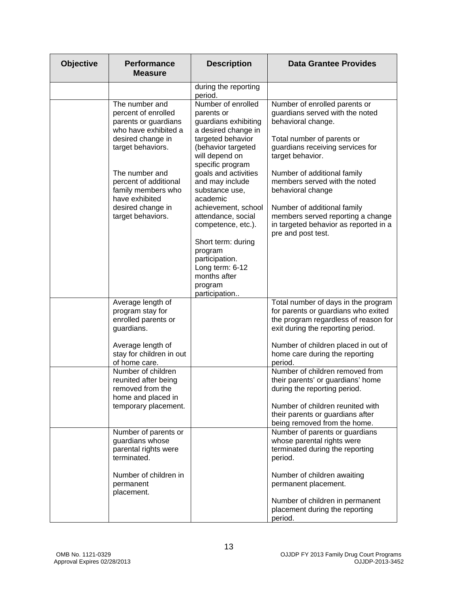| <b>Objective</b> | <b>Performance</b><br><b>Measure</b>                                                                                            | <b>Description</b>                                                                                                                           | <b>Data Grantee Provides</b>                                                                                                                                                                                 |
|------------------|---------------------------------------------------------------------------------------------------------------------------------|----------------------------------------------------------------------------------------------------------------------------------------------|--------------------------------------------------------------------------------------------------------------------------------------------------------------------------------------------------------------|
|                  |                                                                                                                                 | during the reporting<br>period.                                                                                                              |                                                                                                                                                                                                              |
|                  | The number and<br>percent of enrolled<br>parents or guardians<br>who have exhibited a<br>desired change in<br>target behaviors. | Number of enrolled<br>parents or<br>guardians exhibiting<br>a desired change in<br>targeted behavior<br>(behavior targeted<br>will depend on | Number of enrolled parents or<br>guardians served with the noted<br>behavioral change.<br>Total number of parents or<br>guardians receiving services for<br>target behavior.                                 |
|                  | The number and<br>percent of additional<br>family members who<br>have exhibited                                                 | specific program<br>goals and activities<br>and may include<br>substance use,<br>academic                                                    | Number of additional family<br>members served with the noted<br>behavioral change                                                                                                                            |
|                  | desired change in<br>target behaviors.                                                                                          | achievement, school<br>attendance, social<br>competence, etc.).                                                                              | Number of additional family<br>members served reporting a change<br>in targeted behavior as reported in a<br>pre and post test.                                                                              |
|                  |                                                                                                                                 | Short term: during<br>program<br>participation.<br>Long term: 6-12<br>months after<br>program<br>participation                               |                                                                                                                                                                                                              |
|                  | Average length of<br>program stay for<br>enrolled parents or<br>guardians.                                                      |                                                                                                                                              | Total number of days in the program<br>for parents or guardians who exited<br>the program regardless of reason for<br>exit during the reporting period.                                                      |
|                  | Average length of<br>stay for children in out<br>of home care.                                                                  |                                                                                                                                              | Number of children placed in out of<br>home care during the reporting<br>period.                                                                                                                             |
|                  | Number of children<br>reunited after being<br>removed from the<br>home and placed in<br>temporary placement.                    |                                                                                                                                              | Number of children removed from<br>their parents' or guardians' home<br>during the reporting period.<br>Number of children reunited with<br>their parents or guardians after<br>being removed from the home. |
|                  | Number of parents or<br>guardians whose<br>parental rights were<br>terminated.                                                  |                                                                                                                                              | Number of parents or guardians<br>whose parental rights were<br>terminated during the reporting<br>period.                                                                                                   |
|                  | Number of children in<br>permanent<br>placement.                                                                                |                                                                                                                                              | Number of children awaiting<br>permanent placement.<br>Number of children in permanent<br>placement during the reporting                                                                                     |
|                  |                                                                                                                                 |                                                                                                                                              | period.                                                                                                                                                                                                      |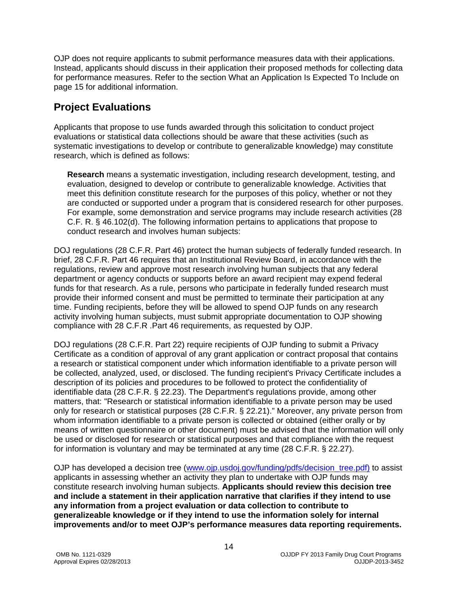OJP does not require applicants to submit performance measures data with their applications. Instead, applicants should discuss in their application their proposed methods for collecting data for performance measures. Refer to the section What an Application Is Expected To Include on page 15 for additional information.

### <span id="page-13-0"></span>**Project Evaluations**

Applicants that propose to use funds awarded through this solicitation to conduct project evaluations or statistical data collections should be aware that these activities (such as systematic investigations to develop or contribute to generalizable knowledge) may constitute research, which is defined as follows:

**Research** means a systematic investigation, including research development, testing, and evaluation, designed to develop or contribute to generalizable knowledge. Activities that meet this definition constitute research for the purposes of this policy, whether or not they are conducted or supported under a program that is considered research for other purposes. For example, some demonstration and service programs may include research activities (28 C.F. R. § 46.102(d). The following information pertains to applications that propose to conduct research and involves human subjects:

DOJ regulations (28 C.F.R. Part 46) protect the human subjects of federally funded research. In brief, 28 C.F.R. Part 46 requires that an Institutional Review Board, in accordance with the regulations, review and approve most research involving human subjects that any federal department or agency conducts or supports before an award recipient may expend federal funds for that research. As a rule, persons who participate in federally funded research must provide their informed consent and must be permitted to terminate their participation at any time. Funding recipients, before they will be allowed to spend OJP funds on any research activity involving human subjects, must submit appropriate documentation to OJP showing compliance with 28 C.F.R .Part 46 requirements, as requested by OJP.

DOJ regulations (28 C.F.R. Part 22) require recipients of OJP funding to submit a Privacy Certificate as a condition of approval of any grant application or contract proposal that contains a research or statistical component under which information identifiable to a private person will be collected, analyzed, used, or disclosed. The funding recipient's Privacy Certificate includes a description of its policies and procedures to be followed to protect the confidentiality of identifiable data (28 C.F.R. § 22.23). The Department's regulations provide, among other matters, that: "Research or statistical information identifiable to a private person may be used only for research or statistical purposes (28 C.F.R. § 22.21)." Moreover, any private person from whom information identifiable to a private person is collected or obtained (either orally or by means of written questionnaire or other document) must be advised that the information will only be used or disclosed for research or statistical purposes and that compliance with the request for information is voluntary and may be terminated at any time (28 C.F.R. § 22.27).

OJP has developed a decision tree (www.ojp.usdoj.gov/funding/pdfs/decision tree.pdf) to assist applicants in assessing whether an activity they plan to undertake with OJP funds may constitute research involving human subjects. **Applicants should review this decision tree and include a statement in their application narrative that clarifies if they intend to use any information from a project evaluation or data collection to contribute to generalizeable knowledge or if they intend to use the information solely for internal improvements and/or to meet OJP's performance measures data reporting requirements.**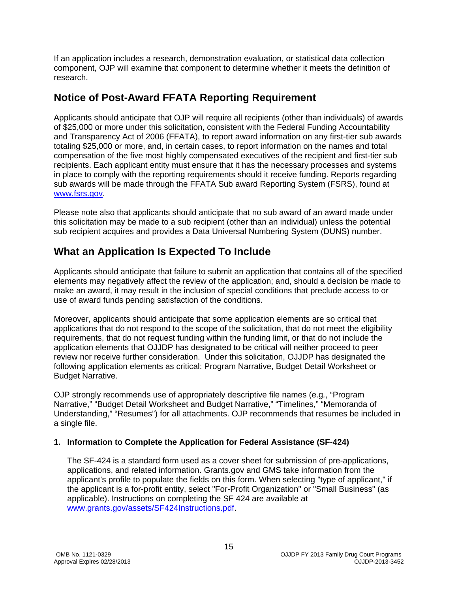If an application includes a research, demonstration evaluation, or statistical data collection component, OJP will examine that component to determine whether it meets the definition of research.

### <span id="page-14-0"></span>**Notice of Post-Award FFATA Reporting Requirement**

Applicants should anticipate that OJP will require all recipients (other than individuals) of awards of \$25,000 or more under this solicitation, consistent with the Federal Funding Accountability and Transparency Act of 2006 (FFATA), to report award information on any first-tier sub awards totaling \$25,000 or more, and, in certain cases, to report information on the names and total compensation of the five most highly compensated executives of the recipient and first-tier sub recipients. Each applicant entity must ensure that it has the necessary processes and systems in place to comply with the reporting requirements should it receive funding. Reports regarding sub awards will be made through the FFATA Sub award Reporting System (FSRS), found at [www.fsrs.gov.](https://www.fsrs.gov/)

Please note also that applicants should anticipate that no sub award of an award made under this solicitation may be made to a sub recipient (other than an individual) unless the potential sub recipient acquires and provides a Data Universal Numbering System (DUNS) number.

### <span id="page-14-1"></span>**What an Application Is Expected To Include**

Applicants should anticipate that failure to submit an application that contains all of the specified elements may negatively affect the review of the application; and, should a decision be made to make an award, it may result in the inclusion of special conditions that preclude access to or use of award funds pending satisfaction of the conditions.

Moreover, applicants should anticipate that some application elements are so critical that applications that do not respond to the scope of the solicitation, that do not meet the eligibility requirements, that do not request funding within the funding limit, or that do not include the application elements that OJJDP has designated to be critical will neither proceed to peer review nor receive further consideration. Under this solicitation, OJJDP has designated the following application elements as critical: Program Narrative, Budget Detail Worksheet or Budget Narrative.

OJP strongly recommends use of appropriately descriptive file names (e.g*.*, "Program Narrative," "Budget Detail Worksheet and Budget Narrative," "Timelines," "Memoranda of Understanding," "Resumes") for all attachments. OJP recommends that resumes be included in a single file.

#### <span id="page-14-2"></span>**1. Information to Complete the Application for Federal Assistance (SF-424)**

The SF-424 is a standard form used as a cover sheet for submission of pre-applications, applications, and related information. Grants.gov and GMS take information from the applicant's profile to populate the fields on this form. When selecting "type of applicant," if the applicant is a for-profit entity, select "For-Profit Organization" or "Small Business" (as applicable). Instructions on completing the SF 424 are available at [www.grants.gov/assets/SF424Instructions.pdf.](http://www.grants.gov/assets/SF424Instructions.pdf)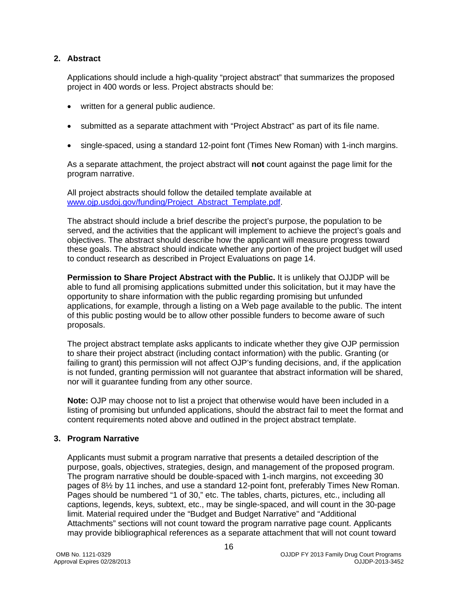#### <span id="page-15-0"></span>**2. Abstract**

Applications should include a high-quality "project abstract" that summarizes the proposed project in 400 words or less. Project abstracts should be:

- written for a general public audience.
- submitted as a separate attachment with "Project Abstract" as part of its file name.
- single-spaced, using a standard 12-point font (Times New Roman) with 1-inch margins.

As a separate attachment, the project abstract will **not** count against the page limit for the program narrative.

All project abstracts should follow the detailed template available at [www.ojp.usdoj.gov/funding/Project\\_Abstract\\_Template.pdf.](http://www.ojp.usdoj.gov/funding/Project_Abstract_Template.pdf)

The abstract should include a brief describe the project's purpose, the population to be served, and the activities that the applicant will implement to achieve the project's goals and objectives. The abstract should describe how the applicant will measure progress toward these goals. The abstract should indicate whether any portion of the project budget will used to conduct research as described in Project Evaluations on page 14.

**Permission to Share Project Abstract with the Public.** It is unlikely that OJJDP will be able to fund all promising applications submitted under this solicitation, but it may have the opportunity to share information with the public regarding promising but unfunded applications, for example, through a listing on a Web page available to the public. The intent of this public posting would be to allow other possible funders to become aware of such proposals.

The project abstract template asks applicants to indicate whether they give OJP permission to share their project abstract (including contact information) with the public. Granting (or failing to grant) this permission will not affect OJP's funding decisions, and, if the application is not funded, granting permission will not guarantee that abstract information will be shared, nor will it guarantee funding from any other source.

**Note:** OJP may choose not to list a project that otherwise would have been included in a listing of promising but unfunded applications, should the abstract fail to meet the format and content requirements noted above and outlined in the project abstract template.

#### <span id="page-15-1"></span>**3. Program Narrative**

Applicants must submit a program narrative that presents a detailed description of the purpose, goals, objectives, strategies, design, and management of the proposed program. The program narrative should be double-spaced with 1-inch margins, not exceeding 30 pages of 8½ by 11 inches, and use a standard 12-point font, preferably Times New Roman. Pages should be numbered "1 of 30," etc. The tables, charts, pictures, etc., including all captions, legends, keys, subtext, etc., may be single-spaced, and will count in the 30-page limit. Material required under the "Budget and Budget Narrative" and "Additional Attachments" sections will not count toward the program narrative page count. Applicants may provide bibliographical references as a separate attachment that will not count toward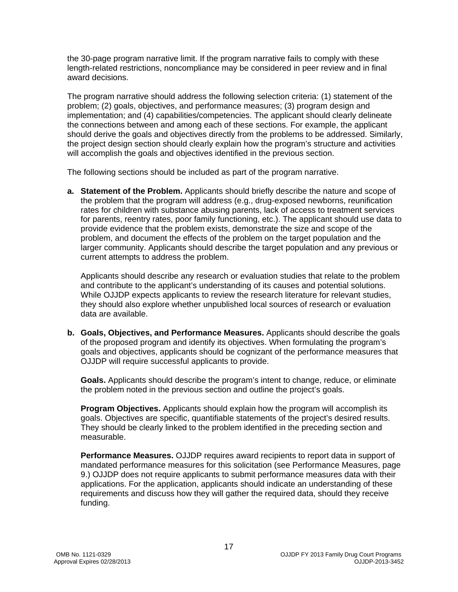the 30-page program narrative limit. If the program narrative fails to comply with these length-related restrictions, noncompliance may be considered in peer review and in final award decisions.

The program narrative should address the following selection criteria: (1) statement of the problem; (2) goals, objectives, and performance measures; (3) program design and implementation; and (4) capabilities/competencies. The applicant should clearly delineate the connections between and among each of these sections. For example, the applicant should derive the goals and objectives directly from the problems to be addressed. Similarly, the project design section should clearly explain how the program's structure and activities will accomplish the goals and objectives identified in the previous section.

The following sections should be included as part of the program narrative.

**a. Statement of the Problem.** Applicants should briefly describe the nature and scope of the problem that the program will address (e.g., drug-exposed newborns, reunification rates for children with substance abusing parents, lack of access to treatment services for parents, reentry rates, poor family functioning, etc.). The applicant should use data to provide evidence that the problem exists, demonstrate the size and scope of the problem, and document the effects of the problem on the target population and the larger community. Applicants should describe the target population and any previous or current attempts to address the problem.

Applicants should describe any research or evaluation studies that relate to the problem and contribute to the applicant's understanding of its causes and potential solutions. While OJJDP expects applicants to review the research literature for relevant studies, they should also explore whether unpublished local sources of research or evaluation data are available.

**b. Goals, Objectives, and Performance Measures.** Applicants should describe the goals of the proposed program and identify its objectives. When formulating the program's goals and objectives, applicants should be cognizant of the performance measures that OJJDP will require successful applicants to provide.

**Goals.** Applicants should describe the program's intent to change, reduce, or eliminate the problem noted in the previous section and outline the project's goals.

**Program Objectives.** Applicants should explain how the program will accomplish its goals. Objectives are specific, quantifiable statements of the project's desired results. They should be clearly linked to the problem identified in the preceding section and measurable.

**Performance Measures.** OJJDP requires award recipients to report data in support of mandated performance measures for this solicitation (see Performance Measures, page 9.) OJJDP does not require applicants to submit performance measures data with their applications. For the application, applicants should indicate an understanding of these requirements and discuss how they will gather the required data, should they receive funding.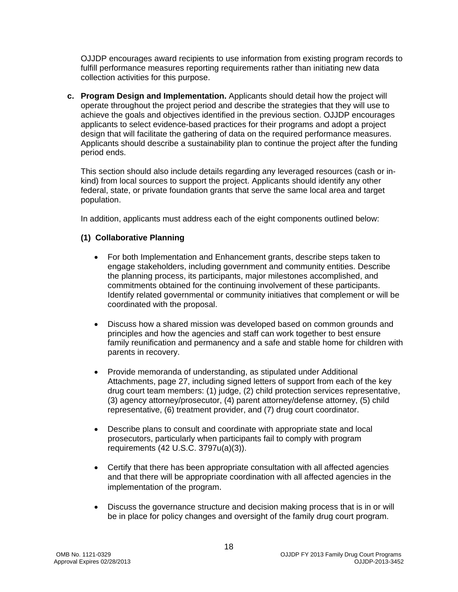OJJDP encourages award recipients to use information from existing program records to fulfill performance measures reporting requirements rather than initiating new data collection activities for this purpose.

**c. Program Design and Implementation.** Applicants should detail how the project will operate throughout the project period and describe the strategies that they will use to achieve the goals and objectives identified in the previous section. OJJDP encourages applicants to select evidence-based practices for their programs and adopt a project design that will facilitate the gathering of data on the required performance measures. Applicants should describe a sustainability plan to continue the project after the funding period ends.

This section should also include details regarding any leveraged resources (cash or inkind) from local sources to support the project. Applicants should identify any other federal, state, or private foundation grants that serve the same local area and target population.

In addition, applicants must address each of the eight components outlined below:

#### **(1) Collaborative Planning**

- For both Implementation and Enhancement grants, describe steps taken to engage stakeholders, including government and community entities. Describe the planning process, its participants, major milestones accomplished, and commitments obtained for the continuing involvement of these participants. Identify related governmental or community initiatives that complement or will be coordinated with the proposal.
- Discuss how a shared mission was developed based on common grounds and principles and how the agencies and staff can work together to best ensure family reunification and permanency and a safe and stable home for children with parents in recovery.
- Provide memoranda of understanding, as stipulated under Additional Attachments, page 27, including signed letters of support from each of the key drug court team members: (1) judge, (2) child protection services representative, (3) agency attorney/prosecutor, (4) parent attorney/defense attorney, (5) child representative, (6) treatment provider, and (7) drug court coordinator.
- Describe plans to consult and coordinate with appropriate state and local prosecutors, particularly when participants fail to comply with program requirements (42 U.S.C. 3797u(a)(3)).
- Certify that there has been appropriate consultation with all affected agencies and that there will be appropriate coordination with all affected agencies in the implementation of the program.
- Discuss the governance structure and decision making process that is in or will be in place for policy changes and oversight of the family drug court program.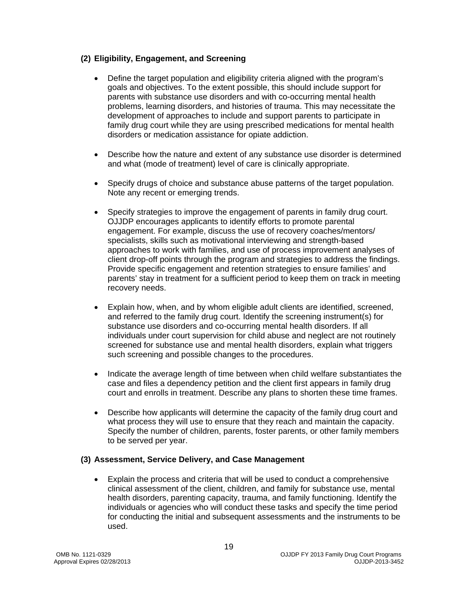#### **(2) Eligibility, Engagement, and Screening**

- Define the target population and eligibility criteria aligned with the program's goals and objectives. To the extent possible, this should include support for parents with substance use disorders and with co-occurring mental health problems, learning disorders, and histories of trauma. This may necessitate the development of approaches to include and support parents to participate in family drug court while they are using prescribed medications for mental health disorders or medication assistance for opiate addiction.
- Describe how the nature and extent of any substance use disorder is determined and what (mode of treatment) level of care is clinically appropriate.
- Specify drugs of choice and substance abuse patterns of the target population. Note any recent or emerging trends.
- Specify strategies to improve the engagement of parents in family drug court. OJJDP encourages applicants to identify efforts to promote parental engagement. For example, discuss the use of recovery coaches/mentors/ specialists, skills such as motivational interviewing and strength-based approaches to work with families, and use of process improvement analyses of client drop-off points through the program and strategies to address the findings. Provide specific engagement and retention strategies to ensure families' and parents' stay in treatment for a sufficient period to keep them on track in meeting recovery needs.
- Explain how, when, and by whom eligible adult clients are identified, screened, and referred to the family drug court. Identify the screening instrument(s) for substance use disorders and co-occurring mental health disorders. If all individuals under court supervision for child abuse and neglect are not routinely screened for substance use and mental health disorders, explain what triggers such screening and possible changes to the procedures.
- Indicate the average length of time between when child welfare substantiates the case and files a dependency petition and the client first appears in family drug court and enrolls in treatment. Describe any plans to shorten these time frames.
- Describe how applicants will determine the capacity of the family drug court and what process they will use to ensure that they reach and maintain the capacity. Specify the number of children, parents, foster parents, or other family members to be served per year.

#### **(3) Assessment, Service Delivery, and Case Management**

• Explain the process and criteria that will be used to conduct a comprehensive clinical assessment of the client, children, and family for substance use, mental health disorders, parenting capacity, trauma, and family functioning. Identify the individuals or agencies who will conduct these tasks and specify the time period for conducting the initial and subsequent assessments and the instruments to be used.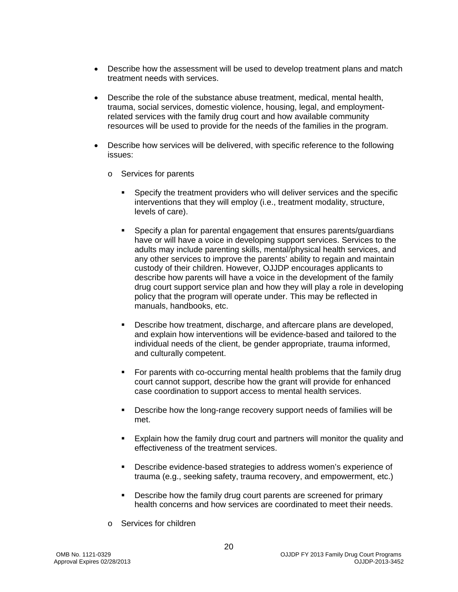- Describe how the assessment will be used to develop treatment plans and match treatment needs with services.
- Describe the role of the substance abuse treatment, medical, mental health, trauma, social services, domestic violence, housing, legal, and employmentrelated services with the family drug court and how available community resources will be used to provide for the needs of the families in the program.
- Describe how services will be delivered, with specific reference to the following issues:
	- o Services for parents
		- Specify the treatment providers who will deliver services and the specific interventions that they will employ (i.e., treatment modality, structure, levels of care).
		- Specify a plan for parental engagement that ensures parents/guardians have or will have a voice in developing support services. Services to the adults may include parenting skills, mental/physical health services, and any other services to improve the parents' ability to regain and maintain custody of their children. However, OJJDP encourages applicants to describe how parents will have a voice in the development of the family drug court support service plan and how they will play a role in developing policy that the program will operate under. This may be reflected in manuals, handbooks, etc.
		- Describe how treatment, discharge, and aftercare plans are developed, and explain how interventions will be evidence-based and tailored to the individual needs of the client, be gender appropriate, trauma informed, and culturally competent.
		- For parents with co-occurring mental health problems that the family drug court cannot support, describe how the grant will provide for enhanced case coordination to support access to mental health services.
		- Describe how the long-range recovery support needs of families will be met.
		- Explain how the family drug court and partners will monitor the quality and effectiveness of the treatment services.
		- **Describe evidence-based strategies to address women's experience of** trauma (e.g., seeking safety, trauma recovery, and empowerment, etc.)
		- **Describe how the family drug court parents are screened for primary** health concerns and how services are coordinated to meet their needs.
	- o Services for children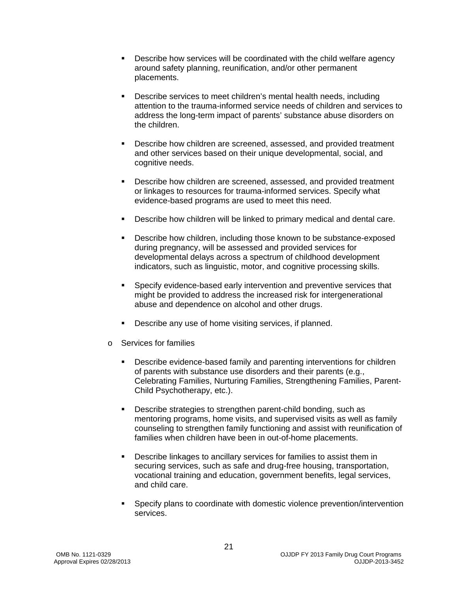- Describe how services will be coordinated with the child welfare agency around safety planning, reunification, and/or other permanent placements.
- Describe services to meet children's mental health needs, including attention to the trauma-informed service needs of children and services to address the long-term impact of parents' substance abuse disorders on the children.
- **Describe how children are screened, assessed, and provided treatment** and other services based on their unique developmental, social, and cognitive needs.
- Describe how children are screened, assessed, and provided treatment or linkages to resources for trauma-informed services. Specify what evidence-based programs are used to meet this need.
- Describe how children will be linked to primary medical and dental care.
- **Describe how children, including those known to be substance-exposed** during pregnancy, will be assessed and provided services for developmental delays across a spectrum of childhood development indicators, such as linguistic, motor, and cognitive processing skills.
- Specify evidence-based early intervention and preventive services that might be provided to address the increased risk for intergenerational abuse and dependence on alcohol and other drugs.
- Describe any use of home visiting services, if planned.
- o Services for families
	- Describe evidence-based family and parenting interventions for children of parents with substance use disorders and their parents (e.g., Celebrating Families, Nurturing Families, Strengthening Families, Parent-Child Psychotherapy, etc.).
	- Describe strategies to strengthen parent-child bonding, such as mentoring programs, home visits, and supervised visits as well as family counseling to strengthen family functioning and assist with reunification of families when children have been in out-of-home placements.
	- Describe linkages to ancillary services for families to assist them in securing services, such as safe and drug-free housing, transportation, vocational training and education, government benefits, legal services, and child care.
	- Specify plans to coordinate with domestic violence prevention/intervention services.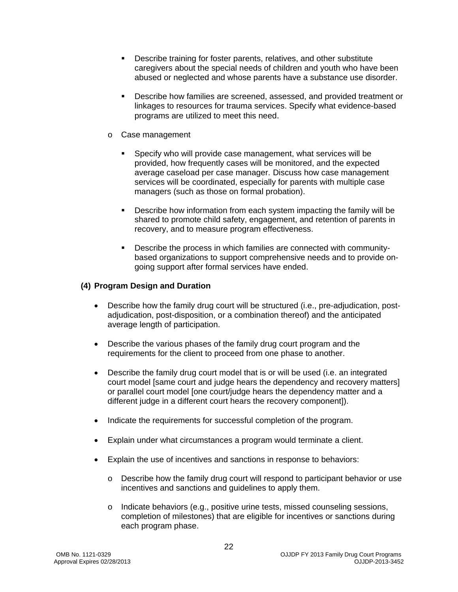- Describe training for foster parents, relatives, and other substitute caregivers about the special needs of children and youth who have been abused or neglected and whose parents have a substance use disorder.
- Describe how families are screened, assessed, and provided treatment or linkages to resources for trauma services. Specify what evidence-based programs are utilized to meet this need.
- o Case management
	- Specify who will provide case management, what services will be provided, how frequently cases will be monitored, and the expected average caseload per case manager. Discuss how case management services will be coordinated, especially for parents with multiple case managers (such as those on formal probation).
	- Describe how information from each system impacting the family will be shared to promote child safety, engagement, and retention of parents in recovery, and to measure program effectiveness.
	- Describe the process in which families are connected with communitybased organizations to support comprehensive needs and to provide ongoing support after formal services have ended.

#### **(4) Program Design and Duration**

- Describe how the family drug court will be structured (i.e., pre-adjudication, postadjudication, post-disposition, or a combination thereof) and the anticipated average length of participation.
- Describe the various phases of the family drug court program and the requirements for the client to proceed from one phase to another.
- Describe the family drug court model that is or will be used (i.e. an integrated court model [same court and judge hears the dependency and recovery matters] or parallel court model [one court/judge hears the dependency matter and a different judge in a different court hears the recovery component]).
- Indicate the requirements for successful completion of the program.
- Explain under what circumstances a program would terminate a client.
- Explain the use of incentives and sanctions in response to behaviors:
	- o Describe how the family drug court will respond to participant behavior or use incentives and sanctions and guidelines to apply them.
	- $\circ$  Indicate behaviors (e.g., positive urine tests, missed counseling sessions, completion of milestones) that are eligible for incentives or sanctions during each program phase.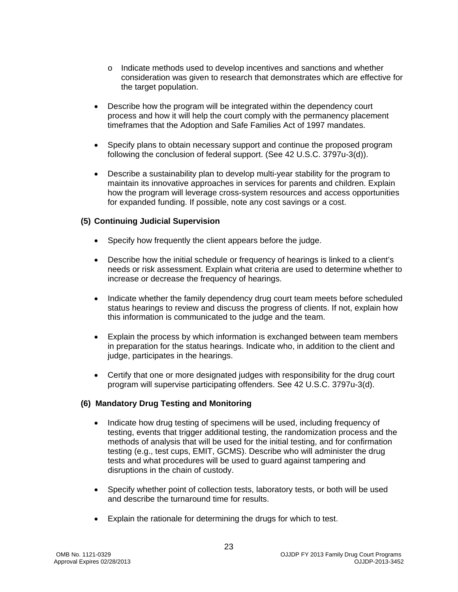- o Indicate methods used to develop incentives and sanctions and whether consideration was given to research that demonstrates which are effective for the target population.
- Describe how the program will be integrated within the dependency court process and how it will help the court comply with the permanency placement timeframes that the Adoption and Safe Families Act of 1997 mandates.
- Specify plans to obtain necessary support and continue the proposed program following the conclusion of federal support. (See 42 U.S.C. 3797u-3(d)).
- Describe a sustainability plan to develop multi-year stability for the program to maintain its innovative approaches in services for parents and children. Explain how the program will leverage cross-system resources and access opportunities for expanded funding. If possible, note any cost savings or a cost.

#### **(5) Continuing Judicial Supervision**

- Specify how frequently the client appears before the judge.
- Describe how the initial schedule or frequency of hearings is linked to a client's needs or risk assessment. Explain what criteria are used to determine whether to increase or decrease the frequency of hearings.
- Indicate whether the family dependency drug court team meets before scheduled status hearings to review and discuss the progress of clients. If not, explain how this information is communicated to the judge and the team.
- Explain the process by which information is exchanged between team members in preparation for the status hearings. Indicate who, in addition to the client and judge, participates in the hearings.
- Certify that one or more designated judges with responsibility for the drug court program will supervise participating offenders. See 42 U.S.C. 3797u-3(d).

#### **(6) Mandatory Drug Testing and Monitoring**

- Indicate how drug testing of specimens will be used, including frequency of testing, events that trigger additional testing, the randomization process and the methods of analysis that will be used for the initial testing, and for confirmation testing (e.g., test cups, EMIT, GCMS). Describe who will administer the drug tests and what procedures will be used to guard against tampering and disruptions in the chain of custody.
- Specify whether point of collection tests, laboratory tests, or both will be used and describe the turnaround time for results.
- Explain the rationale for determining the drugs for which to test.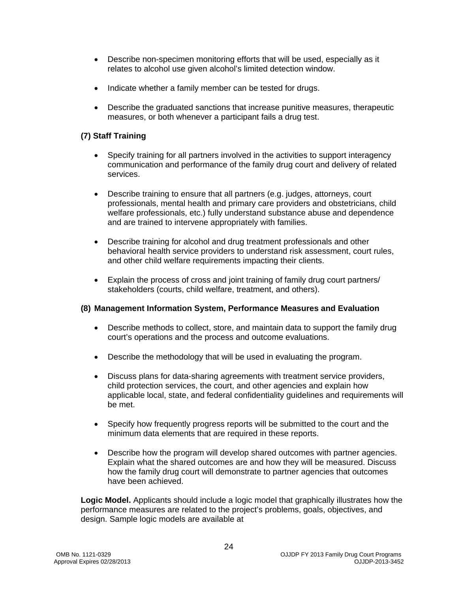- Describe non-specimen monitoring efforts that will be used, especially as it relates to alcohol use given alcohol's limited detection window.
- Indicate whether a family member can be tested for drugs.
- Describe the graduated sanctions that increase punitive measures, therapeutic measures, or both whenever a participant fails a drug test.

#### **(7) Staff Training**

- Specify training for all partners involved in the activities to support interagency communication and performance of the family drug court and delivery of related services.
- Describe training to ensure that all partners (e.g. judges, attorneys, court professionals, mental health and primary care providers and obstetricians, child welfare professionals, etc.) fully understand substance abuse and dependence and are trained to intervene appropriately with families.
- Describe training for alcohol and drug treatment professionals and other behavioral health service providers to understand risk assessment, court rules, and other child welfare requirements impacting their clients.
- Explain the process of cross and joint training of family drug court partners/ stakeholders (courts, child welfare, treatment, and others).

#### **(8) Management Information System, Performance Measures and Evaluation**

- Describe methods to collect, store, and maintain data to support the family drug court's operations and the process and outcome evaluations.
- Describe the methodology that will be used in evaluating the program.
- Discuss plans for data-sharing agreements with treatment service providers, child protection services, the court, and other agencies and explain how applicable local, state, and federal confidentiality guidelines and requirements will be met.
- Specify how frequently progress reports will be submitted to the court and the minimum data elements that are required in these reports.
- Describe how the program will develop shared outcomes with partner agencies. Explain what the shared outcomes are and how they will be measured. Discuss how the family drug court will demonstrate to partner agencies that outcomes have been achieved.

**Logic Model.** Applicants should include a logic model that graphically illustrates how the performance measures are related to the project's problems, goals, objectives, and design. Sample logic models are available at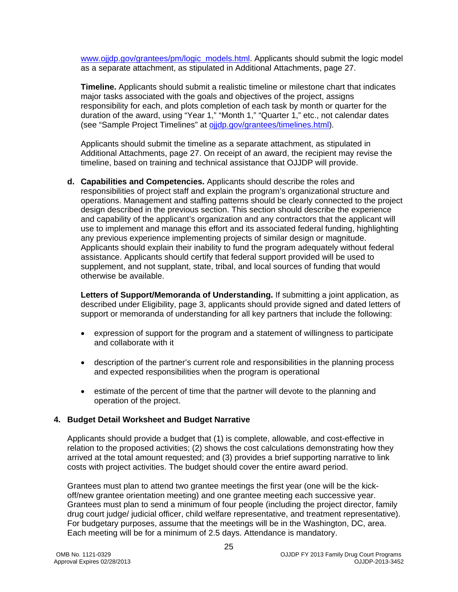[www.ojjdp.gov/grantees/pm/logic\\_models.html.](http://www.ojjdp.gov/grantees/pm/logic_models.html) Applicants should submit the logic model as a separate attachment, as stipulated in Additional Attachments, page 27.

**Timeline.** Applicants should submit a realistic timeline or milestone chart that indicates major tasks associated with the goals and objectives of the project, assigns responsibility for each, and plots completion of each task by month or quarter for the duration of the award, using "Year 1," "Month 1," "Quarter 1," etc., not calendar dates (see "Sample Project Timelines" at [ojjdp.gov/grantees/timelines.html\)](http://ojjdp.gov/grantees/timelines.html).

Applicants should submit the timeline as a separate attachment, as stipulated in Additional Attachments, page 27. On receipt of an award, the recipient may revise the timeline, based on training and technical assistance that OJJDP will provide.

**d. Capabilities and Competencies.** Applicants should describe the roles and responsibilities of project staff and explain the program's organizational structure and operations. Management and staffing patterns should be clearly connected to the project design described in the previous section. This section should describe the experience and capability of the applicant's organization and any contractors that the applicant will use to implement and manage this effort and its associated federal funding, highlighting any previous experience implementing projects of similar design or magnitude. Applicants should explain their inability to fund the program adequately without federal assistance. Applicants should certify that federal support provided will be used to supplement, and not supplant, state, tribal, and local sources of funding that would otherwise be available.

**Letters of Support/Memoranda of Understanding.** If submitting a joint application, as described under Eligibility, page 3, applicants should provide signed and dated letters of support or memoranda of understanding for all key partners that include the following:

- expression of support for the program and a statement of willingness to participate and collaborate with it
- description of the partner's current role and responsibilities in the planning process and expected responsibilities when the program is operational
- estimate of the percent of time that the partner will devote to the planning and operation of the project.

#### <span id="page-24-0"></span>**4. Budget Detail Worksheet and Budget Narrative**

Applicants should provide a budget that (1) is complete, allowable, and cost-effective in relation to the proposed activities; (2) shows the cost calculations demonstrating how they arrived at the total amount requested; and (3) provides a brief supporting narrative to link costs with project activities. The budget should cover the entire award period.

Grantees must plan to attend two grantee meetings the first year (one will be the kickoff/new grantee orientation meeting) and one grantee meeting each successive year. Grantees must plan to send a minimum of four people (including the project director, family drug court judge/ judicial officer, child welfare representative, and treatment representative). For budgetary purposes, assume that the meetings will be in the Washington, DC, area. Each meeting will be for a minimum of 2.5 days. Attendance is mandatory.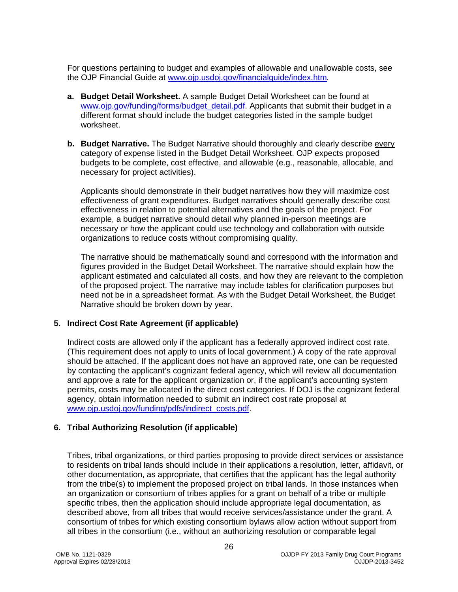For questions pertaining to budget and examples of allowable and unallowable costs, see the OJP Financial Guide at [www.ojp.usdoj.gov/financialguide/index.htm](http://www.ojp.usdoj.gov/financialguide/index.htm)*.*

- **a. Budget Detail Worksheet.** A sample Budget Detail Worksheet can be found at [www.ojp.gov/funding/forms/budget\\_detail.pdf.](http://www.ojp.gov/funding/forms/budget_detail.pdf) Applicants that submit their budget in a different format should include the budget categories listed in the sample budget worksheet.
- **b. Budget Narrative.** The Budget Narrative should thoroughly and clearly describe every category of expense listed in the Budget Detail Worksheet. OJP expects proposed budgets to be complete, cost effective, and allowable (e.g., reasonable, allocable, and necessary for project activities).

Applicants should demonstrate in their budget narratives how they will maximize cost effectiveness of grant expenditures. Budget narratives should generally describe cost effectiveness in relation to potential alternatives and the goals of the project. For example, a budget narrative should detail why planned in-person meetings are necessary or how the applicant could use technology and collaboration with outside organizations to reduce costs without compromising quality.

The narrative should be mathematically sound and correspond with the information and figures provided in the Budget Detail Worksheet. The narrative should explain how the applicant estimated and calculated all costs, and how they are relevant to the completion of the proposed project. The narrative may include tables for clarification purposes but need not be in a spreadsheet format. As with the Budget Detail Worksheet, the Budget Narrative should be broken down by year.

#### <span id="page-25-0"></span>**5. Indirect Cost Rate Agreement (if applicable)**

Indirect costs are allowed only if the applicant has a federally approved indirect cost rate. (This requirement does not apply to units of local government.) A copy of the rate approval should be attached. If the applicant does not have an approved rate, one can be requested by contacting the applicant's cognizant federal agency, which will review all documentation and approve a rate for the applicant organization or, if the applicant's accounting system permits, costs may be allocated in the direct cost categories. If DOJ is the cognizant federal agency, obtain information needed to submit an indirect cost rate proposal at [www.ojp.usdoj.gov/funding/pdfs/indirect\\_costs.pdf.](http://www.ojp.usdoj.gov/funding/pdfs/indirect_costs.pdf)

#### <span id="page-25-1"></span>**6. Tribal Authorizing Resolution (if applicable)**

Tribes, tribal organizations, or third parties proposing to provide direct services or assistance to residents on tribal lands should include in their applications a resolution, letter, affidavit, or other documentation, as appropriate, that certifies that the applicant has the legal authority from the tribe(s) to implement the proposed project on tribal lands. In those instances when an organization or consortium of tribes applies for a grant on behalf of a tribe or multiple specific tribes, then the application should include appropriate legal documentation, as described above, from all tribes that would receive services/assistance under the grant. A consortium of tribes for which existing consortium bylaws allow action without support from all tribes in the consortium (i.e., without an authorizing resolution or comparable legal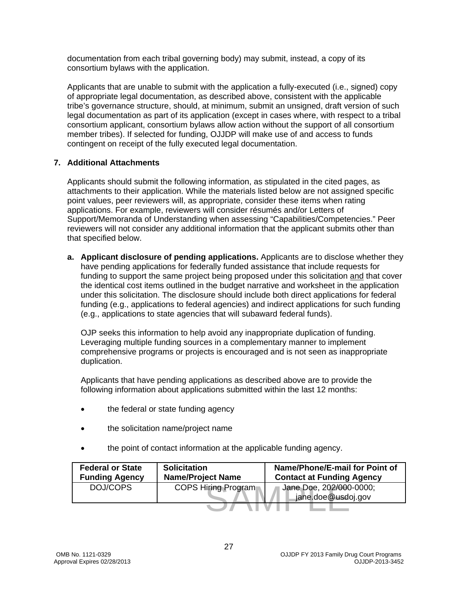documentation from each tribal governing body) may submit, instead, a copy of its consortium bylaws with the application.

Applicants that are unable to submit with the application a fully-executed (i.e., signed) copy of appropriate legal documentation, as described above, consistent with the applicable tribe's governance structure, should, at minimum, submit an unsigned, draft version of such legal documentation as part of its application (except in cases where, with respect to a tribal consortium applicant, consortium bylaws allow action without the support of all consortium member tribes). If selected for funding, OJJDP will make use of and access to funds contingent on receipt of the fully executed legal documentation.

#### <span id="page-26-0"></span>**7. Additional Attachments**

Applicants should submit the following information, as stipulated in the cited pages, as attachments to their application. While the materials listed below are not assigned specific point values, peer reviewers will, as appropriate, consider these items when rating applications. For example, reviewers will consider résumés and/or Letters of Support/Memoranda of Understanding when assessing "Capabilities/Competencies." Peer reviewers will not consider any additional information that the applicant submits other than that specified below.

**a. Applicant disclosure of pending applications.** Applicants are to disclose whether they have pending applications for federally funded assistance that include requests for funding to support the same project being proposed under this solicitation and that cover the identical cost items outlined in the budget narrative and worksheet in the application under this solicitation. The disclosure should include both direct applications for federal funding (e.g., applications to federal agencies) and indirect applications for such funding (e.g., applications to state agencies that will subaward federal funds).

OJP seeks this information to help avoid any inappropriate duplication of funding. Leveraging multiple funding sources in a complementary manner to implement comprehensive programs or projects is encouraged and is not seen as inappropriate duplication.

Applicants that have pending applications as described above are to provide the following information about applications submitted within the last 12 months:

- the federal or state funding agency
- the solicitation name/project name
- the point of contact information at the applicable funding agency.

| <b>Federal or State</b><br><b>Funding Agency</b> | <b>Solicitation</b><br><b>Name/Project Name</b> | Name/Phone/E-mail for Point of<br><b>Contact at Funding Agency</b> |
|--------------------------------------------------|-------------------------------------------------|--------------------------------------------------------------------|
| DOJ/COPS                                         | <b>COPS Hiring Program</b>                      | Jane Doe, 202/000-0000;<br>jane.doe@usdoj.gov                      |
|                                                  |                                                 |                                                                    |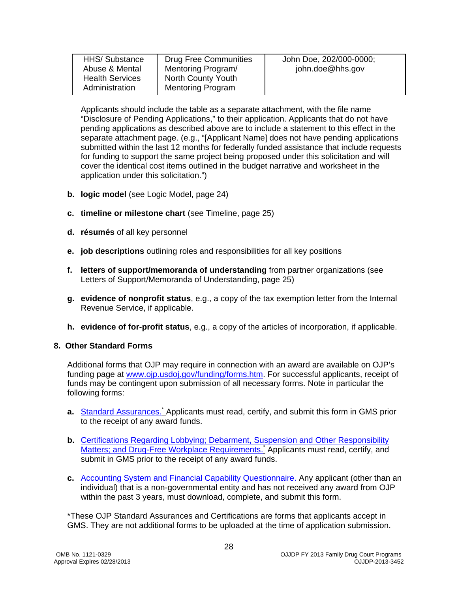|                | <b>HHS/</b> Substance  | <b>Drug Free Communities</b> | John Doe, 202/000-0000; |  |
|----------------|------------------------|------------------------------|-------------------------|--|
|                |                        |                              |                         |  |
|                | Abuse & Mental         | Mentoring Program/           | john.doe@hhs.gov        |  |
|                |                        |                              |                         |  |
|                | <b>Health Services</b> | North County Youth           |                         |  |
|                |                        |                              |                         |  |
| Administration |                        | <b>Mentoring Program</b>     |                         |  |
|                |                        |                              |                         |  |
|                |                        |                              |                         |  |

Applicants should include the table as a separate attachment, with the file name "Disclosure of Pending Applications," to their application. Applicants that do not have pending applications as described above are to include a statement to this effect in the separate attachment page. (e.g., "[Applicant Name] does not have pending applications submitted within the last 12 months for federally funded assistance that include requests for funding to support the same project being proposed under this solicitation and will cover the identical cost items outlined in the budget narrative and worksheet in the application under this solicitation.")

- **b. logic model** (see Logic Model, page 24)
- **c. timeline or milestone chart** (see Timeline, page 25)
- **d. résumés** of all key personnel
- **e. job descriptions** outlining roles and responsibilities for all key positions
- **f. letters of support/memoranda of understanding** from partner organizations (see Letters of Support/Memoranda of Understanding, page 25)
- **g. evidence of nonprofit status**, e.g., a copy of the tax exemption letter from the Internal Revenue Service, if applicable.
- **h. evidence of for-profit status**, e.g., a copy of the articles of incorporation, if applicable.

#### <span id="page-27-0"></span>**8. Other Standard Forms**

Additional forms that OJP may require in connection with an award are available on OJP's funding page at [www.ojp.usdoj.gov/funding/forms.htm.](http://www.ojp.usdoj.gov/funding/forms.htm) For successful applicants, receipt of funds may be contingent upon submission of all necessary forms. Note in particular the following forms:

- a. [Standard Assurances.](http://www.ojp.usdoj.gov/funding/forms/std_assurances.pdf)<sup>\*</sup> Applicants must read, certify, and submit this form in GMS prior to the receipt of any award funds.
- **b.** [Certifications Regarding Lobbying; Debarment, Suspension and Other Responsibility](http://www.ojp.usdoj.gov/funding/forms/certifications.pdf)  [Matters; and Drug-Free Workplace Requirements.](http://www.ojp.usdoj.gov/funding/forms/certifications.pdf) Applicants must read, certify, and submit in GMS prior to the receipt of any award funds.
- **c.** [Accounting System and Financial Capability Questionnaire.](http://www.ojp.usdoj.gov/funding/forms/financial_capability.pdf) Any applicant (other than an individual) that is a non-governmental entity and has not received any award from OJP within the past 3 years, must download, complete, and submit this form.

\*These OJP Standard Assurances and Certifications are forms that applicants accept in GMS. They are not additional forms to be uploaded at the time of application submission.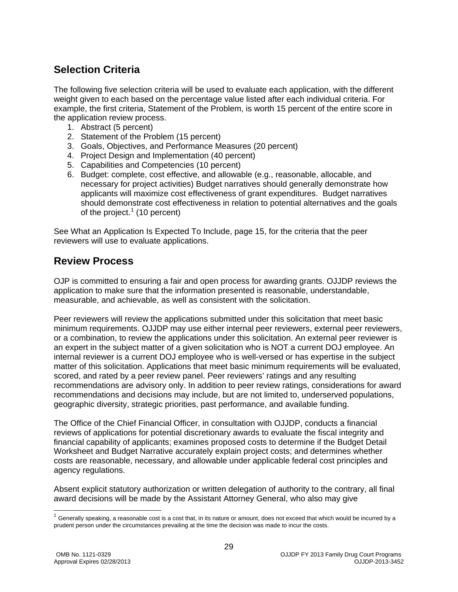### <span id="page-28-0"></span>**Selection Criteria**

The following five selection criteria will be used to evaluate each application, with the different weight given to each based on the percentage value listed after each individual criteria. For example, the first criteria, Statement of the Problem, is worth 15 percent of the entire score in the application review process.

- 1. Abstract (5 percent)
- 2. Statement of the Problem (15 percent)
- 3. Goals, Objectives, and Performance Measures (20 percent)
- 4. Project Design and Implementation (40 percent)
- 5. Capabilities and Competencies (10 percent)
- 6. Budget: complete, cost effective, and allowable (e.g., reasonable, allocable, and necessary for project activities) Budget narratives should generally demonstrate how applicants will maximize cost effectiveness of grant expenditures. Budget narratives should demonstrate cost effectiveness in relation to potential alternatives and the goals of the project.<sup>[1](#page-2-3)</sup> (10 percent)

See What an Application Is Expected To Include, page 15, for the criteria that the peer reviewers will use to evaluate applications.

### <span id="page-28-1"></span>**Review Process**

OJP is committed to ensuring a fair and open process for awarding grants. OJJDP reviews the application to make sure that the information presented is reasonable, understandable, measurable, and achievable, as well as consistent with the solicitation.

Peer reviewers will review the applications submitted under this solicitation that meet basic minimum requirements. OJJDP may use either internal peer reviewers, external peer reviewers, or a combination, to review the applications under this solicitation. An external peer reviewer is an expert in the subject matter of a given solicitation who is NOT a current DOJ employee. An internal reviewer is a current DOJ employee who is well-versed or has expertise in the subject matter of this solicitation. Applications that meet basic minimum requirements will be evaluated, scored, and rated by a peer review panel. Peer reviewers' ratings and any resulting recommendations are advisory only. In addition to peer review ratings, considerations for award recommendations and decisions may include, but are not limited to, underserved populations, geographic diversity, strategic priorities, past performance, and available funding.

The Office of the Chief Financial Officer, in consultation with OJJDP, conducts a financial reviews of applications for potential discretionary awards to evaluate the fiscal integrity and financial capability of applicants; examines proposed costs to determine if the Budget Detail Worksheet and Budget Narrative accurately explain project costs; and determines whether costs are reasonable, necessary, and allowable under applicable federal cost principles and agency regulations.

Absent explicit statutory authorization or written delegation of authority to the contrary, all final award decisions will be made by the Assistant Attorney General, who also may give

<span id="page-28-2"></span> $1$  Generally speaking, a reasonable cost is a cost that, in its nature or amount, does not exceed that which would be incurred by a prudent person under the circumstances prevailing at the time the decision was made to incur the costs.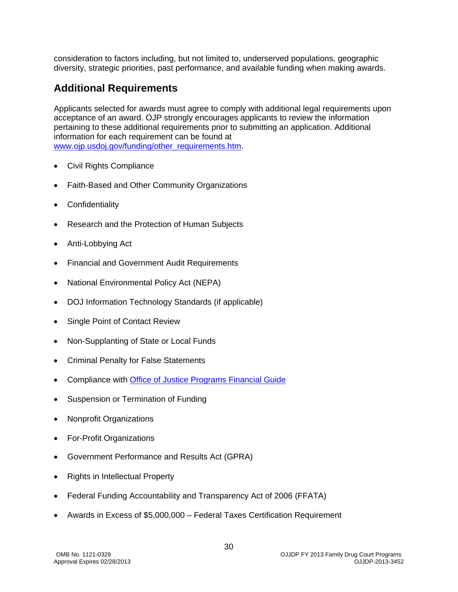consideration to factors including, but not limited to, underserved populations, geographic diversity, strategic priorities, past performance, and available funding when making awards.

### <span id="page-29-0"></span>**Additional Requirements**

Applicants selected for awards must agree to comply with additional legal requirements upon acceptance of an award. OJP strongly encourages applicants to review the information pertaining to these additional requirements prior to submitting an application. Additional information for each requirement can be found at www.oip.usdoi.gov/funding/other\_requirements.htm.

- [Civil Rights Compliance](http://www.ojp.usdoj.gov/about/ocr/statutes.htm)
- Faith-Based and Other Community Organizations
- **Confidentiality**
- Research and the Protection of Human Subjects
- Anti-Lobbying Act
- Financial and Government Audit Requirements
- National Environmental Policy Act (NEPA)
- DOJ Information Technology Standards (if applicable)
- Single Point of Contact Review
- Non-Supplanting of State or Local Funds
- Criminal Penalty for False Statements
- Compliance with [Office of Justice Programs Financial Guide](http://www.ojp.gov/financialguide/index.htm)
- Suspension or Termination of Funding
- Nonprofit Organizations
- For-Profit Organizations
- Government Performance and Results Act (GPRA)
- Rights in Intellectual Property
- Federal Funding Accountability and Transparency Act of 2006 (FFATA)
- Awards in Excess of \$5,000,000 Federal Taxes Certification Requirement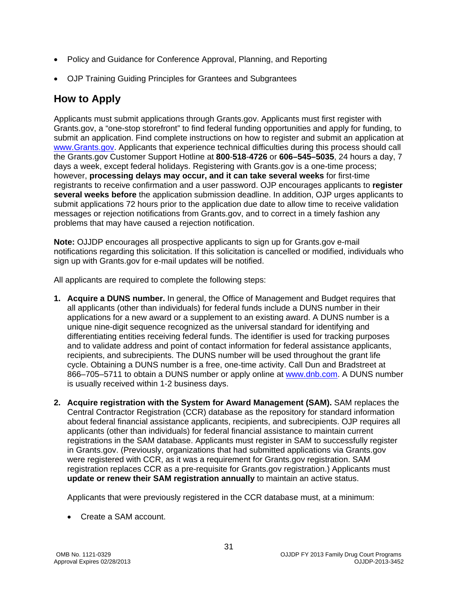- Policy and Guidance for Conference Approval, Planning, and Reporting
- OJP Training Guiding Principles for Grantees and Subgrantees

### <span id="page-30-0"></span>**How to Apply**

Applicants must submit applications through Grants.gov. Applicants must first register with Grants.gov, a "one-stop storefront" to find federal funding opportunities and apply for funding, to submit an application. Find complete instructions on how to register and submit an application at [www.Grants.gov.](http://www.grants.gov/) Applicants that experience technical difficulties during this process should call the Grants.gov Customer Support Hotline at **800**-**518**-**4726** or **606–545–5035**, 24 hours a day, 7 days a week, except federal holidays. Registering with Grants.gov is a one-time process; however, **processing delays may occur, and it can take several weeks** for first-time registrants to receive confirmation and a user password. OJP encourages applicants to **register several weeks before** the application submission deadline. In addition, OJP urges applicants to submit applications 72 hours prior to the application due date to allow time to receive validation messages or rejection notifications from Grants.gov, and to correct in a timely fashion any problems that may have caused a rejection notification.

**Note:** OJJDP encourages all prospective applicants to sign up for Grants.gov e-mail notifications regarding this solicitation. If this solicitation is cancelled or modified, individuals who sign up with Grants.gov for e-mail updates will be notified.

All applicants are required to complete the following steps:

- **1. Acquire a DUNS number.** In general, the Office of Management and Budget requires that all applicants (other than individuals) for federal funds include a DUNS number in their applications for a new award or a supplement to an existing award. A DUNS number is a unique nine-digit sequence recognized as the universal standard for identifying and differentiating entities receiving federal funds. The identifier is used for tracking purposes and to validate address and point of contact information for federal assistance applicants, recipients, and subrecipients. The DUNS number will be used throughout the grant life cycle. Obtaining a DUNS number is a free, one-time activity. Call Dun and Bradstreet at 866–705–5711 to obtain a DUNS number or apply online at [www.dnb.com.](http://www.dnb.com/) A DUNS number is usually received within 1-2 business days.
- **2. Acquire registration with the System for Award Management (SAM).** SAM replaces the Central Contractor Registration (CCR) database as the repository for standard information about federal financial assistance applicants, recipients, and subrecipients. OJP requires all applicants (other than individuals) for federal financial assistance to maintain current registrations in the SAM database. Applicants must register in SAM to successfully register in Grants.gov. (Previously, organizations that had submitted applications via Grants.gov were registered with CCR, as it was a requirement for Grants.gov registration. SAM registration replaces CCR as a pre-requisite for Grants.gov registration.) Applicants must **update or renew their SAM registration annually** to maintain an active status.

Applicants that were previously registered in the CCR database must, at a minimum:

• Create a SAM account.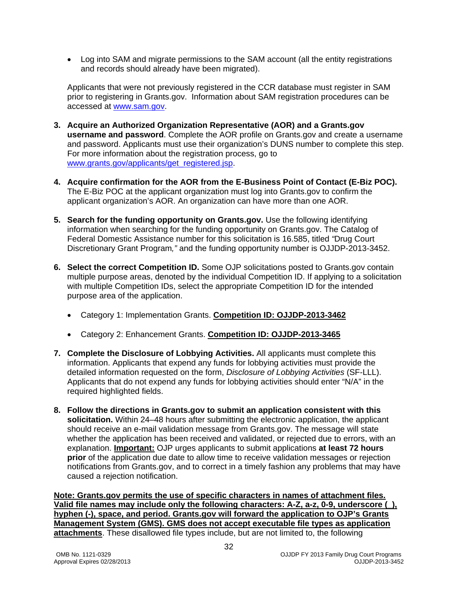• Log into SAM and migrate permissions to the SAM account (all the entity registrations and records should already have been migrated).

Applicants that were not previously registered in the CCR database must register in SAM prior to registering in Grants.gov. Information about SAM registration procedures can be accessed at [www.sam.gov.](https://www.sam.gov/portal/public/SAM/?portal:componentId=1f834b82-3fed-4eb3-a1f8-ea1f226a7955&portal:type=action&interactionstate=JBPNS_rO0ABXc0ABBfanNmQnJpZGdlVmlld0lkAAAAAQATL2pzZi9uYXZpZ2F0aW9uLmpzcAAHX19FT0ZfXw**)

- **3. Acquire an Authorized Organization Representative (AOR) and a Grants.gov username and password**. Complete the AOR profile on Grants.gov and create a username and password. Applicants must use their organization's DUNS number to complete this step. For more information about the registration process, go to [www.grants.gov/applicants/get\\_registered.jsp.](http://www.grants.gov/applicants/get_registered.jsp)
- **4. Acquire confirmation for the AOR from the E-Business Point of Contact (E-Biz POC).**  The E-Biz POC at the applicant organization must log into Grants.gov to confirm the applicant organization's AOR. An organization can have more than one AOR.
- **5. Search for the funding opportunity on Grants.gov.** Use the following identifying information when searching for the funding opportunity on Grants.gov. The Catalog of Federal Domestic Assistance number for this solicitation is 16.585, titled *"*Drug Court Discretionary Grant Program*,"* and the funding opportunity number is OJJDP-2013-3452.
- **6. Select the correct Competition ID.** Some OJP solicitations posted to Grants.gov contain multiple purpose areas, denoted by the individual Competition ID. If applying to a solicitation with multiple Competition IDs, select the appropriate Competition ID for the intended purpose area of the application.
	- Category 1: Implementation Grants. **Competition ID: OJJDP-2013-3462**
	- Category 2: Enhancement Grants. **Competition ID: OJJDP-2013-3465**
- **7. Complete the Disclosure of Lobbying Activities.** All applicants must complete this information. Applicants that expend any funds for lobbying activities must provide the detailed information requested on the form, *Disclosure of Lobbying Activities* (SF-LLL). Applicants that do not expend any funds for lobbying activities should enter "N/A" in the required highlighted fields.
- **8. Follow the directions in Grants.gov to submit an application consistent with this**  solicitation. Within 24–48 hours after submitting the electronic application, the applicant should receive an e-mail validation message from Grants.gov. The message will state whether the application has been received and validated, or rejected due to errors, with an explanation. **Important:** OJP urges applicants to submit applications **at least 72 hours prior** of the application due date to allow time to receive validation messages or rejection notifications from Grants.gov, and to correct in a timely fashion any problems that may have caused a rejection notification.

**Note: Grants.gov permits the use of specific characters in names of attachment files. Valid file names may include only the following characters: A-Z, a-z, 0-9, underscore (\_), hyphen (-), space, and period. Grants.gov will forward the application to OJP's Grants Management System (GMS). GMS does not accept executable file types as application attachments**. These disallowed file types include, but are not limited to, the following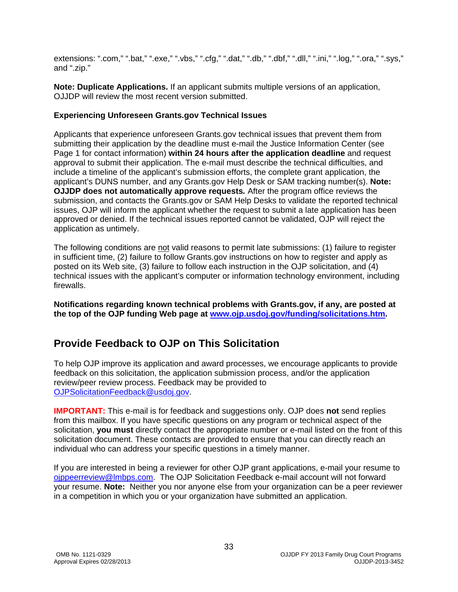extensions: ".com," ".bat," ".exe," ".vbs," ".cfg," ".dat," ".db," ".dbf," ".dll," ".ini," ".log," ".ora," ".sys," and ".zip."

**Note: Duplicate Applications.** If an applicant submits multiple versions of an application, OJJDP will review the most recent version submitted.

#### **Experiencing Unforeseen Grants.gov Technical Issues**

Applicants that experience unforeseen Grants.gov technical issues that prevent them from submitting their application by the deadline must e-mail the Justice Information Center (see Page 1 for contact information) **within 24 hours after the application deadline** and request approval to submit their application. The e-mail must describe the technical difficulties, and include a timeline of the applicant's submission efforts, the complete grant application, the applicant's DUNS number, and any Grants.gov Help Desk or SAM tracking number(s). **Note: OJJDP does not automatically approve requests***.* After the program office reviews the submission, and contacts the Grants.gov or SAM Help Desks to validate the reported technical issues, OJP will inform the applicant whether the request to submit a late application has been approved or denied. If the technical issues reported cannot be validated, OJP will reject the application as untimely.

The following conditions are not valid reasons to permit late submissions: (1) failure to register in sufficient time, (2) failure to follow Grants.gov instructions on how to register and apply as posted on its Web site, (3) failure to follow each instruction in the OJP solicitation, and (4) technical issues with the applicant's computer or information technology environment, including firewalls.

**Notifications regarding known technical problems with Grants.gov, if any, are posted at the top of the OJP funding Web page at [www.ojp.usdoj.gov/funding/solicitations.htm.](http://www.ojp.gov/funding/solicitations.htm)**

### <span id="page-32-0"></span>**Provide Feedback to OJP on This Solicitation**

To help OJP improve its application and award processes, we encourage applicants to provide feedback on this solicitation, the application submission process, and/or the application review/peer review process. Feedback may be provided to [OJPSolicitationFeedback@usdoj.gov.](mailto:OJPSolicitationFeedback@usdoj.gov)

**IMPORTANT:** This e-mail is for feedback and suggestions only. OJP does **not** send replies from this mailbox. If you have specific questions on any program or technical aspect of the solicitation, **you must** directly contact the appropriate number or e-mail listed on the front of this solicitation document. These contacts are provided to ensure that you can directly reach an individual who can address your specific questions in a timely manner.

If you are interested in being a reviewer for other OJP grant applications, e-mail your resume to [ojppeerreview@lmbps.com.](mailto:ojppeerreview@lmbps.com) The OJP Solicitation Feedback e-mail account will not forward your resume. **Note:** Neither you nor anyone else from your organization can be a peer reviewer in a competition in which you or your organization have submitted an application.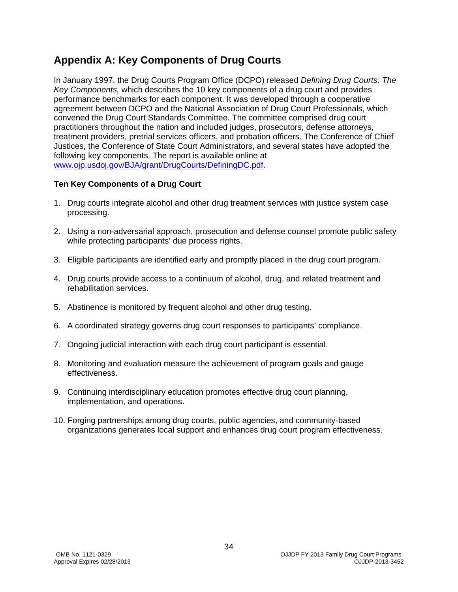### <span id="page-33-0"></span>**Appendix A: Key Components of Drug Courts**

In January 1997, the Drug Courts Program Office (DCPO) released *Defining Drug Courts: The Key Components,* which describes the 10 key components of a drug court and provides performance benchmarks for each component. It was developed through a cooperative agreement between DCPO and the National Association of Drug Court Professionals, which convened the Drug Court Standards Committee. The committee comprised drug court practitioners throughout the nation and included judges, prosecutors, defense attorneys, treatment providers, pretrial services officers, and probation officers. The Conference of Chief Justices, the Conference of State Court Administrators, and several states have adopted the following key components. The report is available online at www.ojp.usdoj.gov/BJA/grant/DrugCourts/DefiningDC.pdf.

#### **Ten Key Components of a Drug Court**

- 1. Drug courts integrate alcohol and other drug treatment services with justice system case processing.
- 2. Using a non-adversarial approach, prosecution and defense counsel promote public safety while protecting participants' due process rights.
- 3. Eligible participants are identified early and promptly placed in the drug court program.
- 4. Drug courts provide access to a continuum of alcohol, drug, and related treatment and rehabilitation services.
- 5. Abstinence is monitored by frequent alcohol and other drug testing.
- 6. A coordinated strategy governs drug court responses to participants' compliance.
- 7. Ongoing judicial interaction with each drug court participant is essential.
- 8. Monitoring and evaluation measure the achievement of program goals and gauge effectiveness.
- 9. Continuing interdisciplinary education promotes effective drug court planning, implementation, and operations.
- 10. Forging partnerships among drug courts, public agencies, and community-based organizations generates local support and enhances drug court program effectiveness.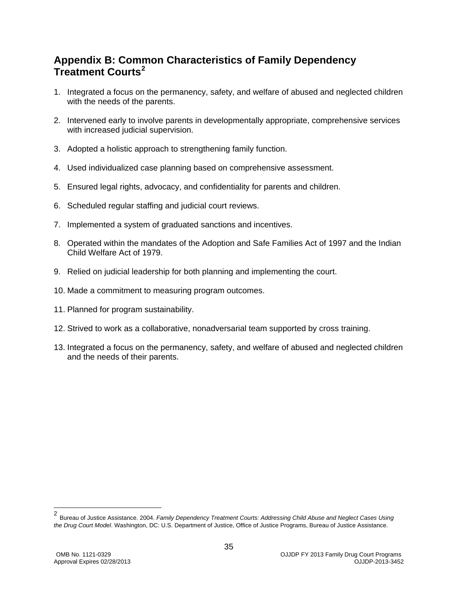### <span id="page-34-0"></span>**Appendix B: Common Characteristics of Family Dependency Treatment Courts[2](#page-28-2)**

- 1. Integrated a focus on the permanency, safety, and welfare of abused and neglected children with the needs of the parents.
- 2. Intervened early to involve parents in developmentally appropriate, comprehensive services with increased judicial supervision.
- 3. Adopted a holistic approach to strengthening family function.
- 4. Used individualized case planning based on comprehensive assessment.
- 5. Ensured legal rights, advocacy, and confidentiality for parents and children.
- 6. Scheduled regular staffing and judicial court reviews.
- 7. Implemented a system of graduated sanctions and incentives.
- 8. Operated within the mandates of the Adoption and Safe Families Act of 1997 and the Indian Child Welfare Act of 1979.
- 9. Relied on judicial leadership for both planning and implementing the court.
- 10. Made a commitment to measuring program outcomes.
- 11. Planned for program sustainability.
- 12. Strived to work as a collaborative, nonadversarial team supported by cross training.
- 13. Integrated a focus on the permanency, safety, and welfare of abused and neglected children and the needs of their parents.

 <sup>2</sup> Bureau of Justice Assistance. 2004. *Family Dependency Treatment Courts: Addressing Child Abuse and Neglect Cases Using the Drug Court Model*. Washington, DC: U.S. Department of Justice, Office of Justice Programs, Bureau of Justice Assistance.